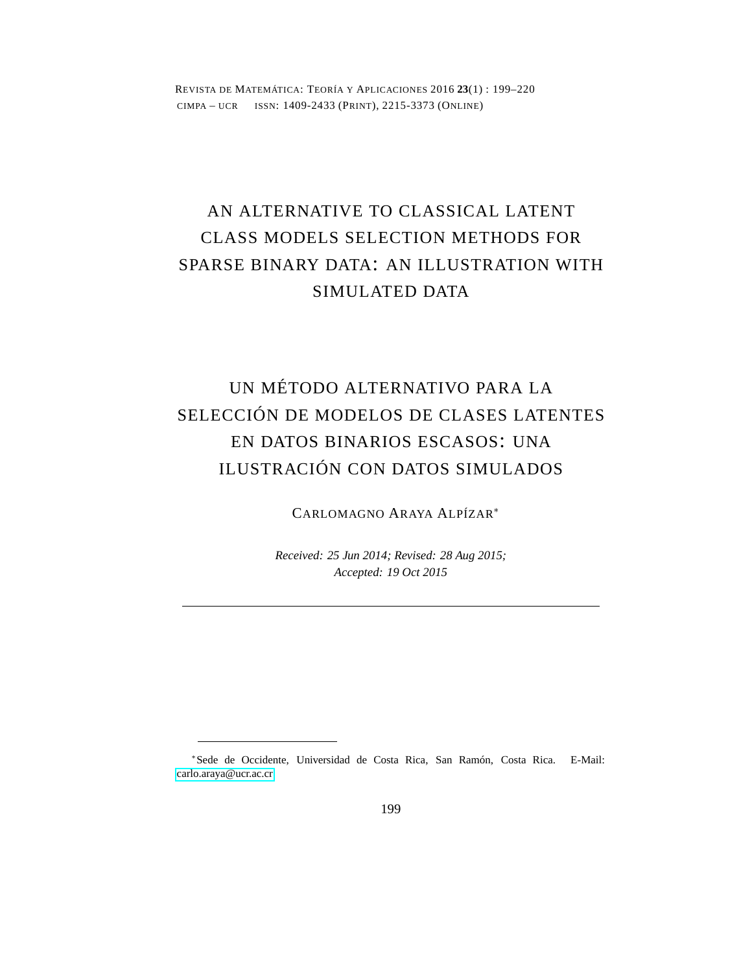REVISTA DE MATEMÁTICA: TEORÍA Y APLICACIONES 2016 **23**(1) : 199–220 CIMPA – UCR ISSN: 1409-2433 (PRINT), 2215-3373 (ONLINE)

# AN ALTERNATIVE TO CLASSICAL LATENT CLASS MODELS SELECTION METHODS FOR SPARSE BINARY DATA: AN ILLUSTRATION WITH SIMULATED DATA

# UN MÉTODO ALTERNATIVO PARA LA SELECCIÓN DE MODELOS DE CLASES LATENTES EN DATOS BINARIOS ESCASOS: UNA ILUSTRACIÓN CON DATOS SIMULADOS

CARLOMAGNO ARAYA ALPÍZAR<sup>∗</sup>

*Received: 25 Jun 2014; Revised: 28 Aug 2015; Accepted: 19 Oct 2015*

<sup>∗</sup> Sede de Occidente, Universidad de Costa Rica, San Ramón, Costa Rica. E-Mail: [carlo.araya@ucr.ac.cr](mailto: carlo.araya@ucr.ac.cr)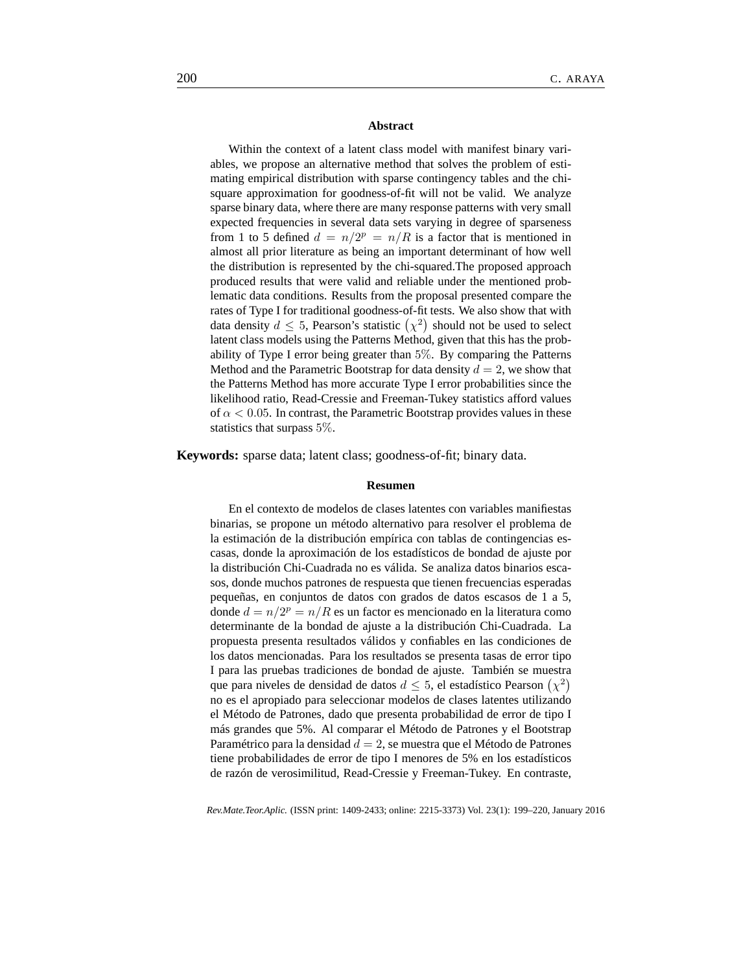#### **Abstract**

Within the context of a latent class model with manifest binary variables, we propose an alternative method that solves the problem of estimating empirical distribution with sparse contingency tables and the chisquare approximation for goodness-of-fit will not be valid. We analyze sparse binary data, where there are many response patterns with very small expected frequencies in several data sets varying in degree of sparseness from 1 to 5 defined  $d = n/2^p = n/R$  is a factor that is mentioned in almost all prior literature as being an important determinant of how well the distribution is represented by the chi-squared.The proposed approach produced results that were valid and reliable under the mentioned problematic data conditions. Results from the proposal presented compare the rates of Type I for traditional goodness-of-fit tests. We also show that with data density  $d \leq 5$ , Pearson's statistic  $(\chi^2)$  should not be used to select latent class models using the Patterns Method, given that this has the probability of Type I error being greater than 5%. By comparing the Patterns Method and the Parametric Bootstrap for data density  $d = 2$ , we show that the Patterns Method has more accurate Type I error probabilities since the likelihood ratio, Read-Cressie and Freeman-Tukey statistics afford values of  $\alpha$  < 0.05. In contrast, the Parametric Bootstrap provides values in these statistics that surpass 5%.

**Keywords:** sparse data; latent class; goodness-of-fit; binary data.

#### **Resumen**

En el contexto de modelos de clases latentes con variables manifiestas binarias, se propone un método alternativo para resolver el problema de la estimación de la distribución empírica con tablas de contingencias escasas, donde la aproximación de los estadísticos de bondad de ajuste por la distribución Chi-Cuadrada no es válida. Se analiza datos binarios escasos, donde muchos patrones de respuesta que tienen frecuencias esperadas pequeñas, en conjuntos de datos con grados de datos escasos de 1 a 5, donde  $d = n/2^p = n/R$  es un factor es mencionado en la literatura como determinante de la bondad de ajuste a la distribución Chi-Cuadrada. La propuesta presenta resultados válidos y confiables en las condiciones de los datos mencionadas. Para los resultados se presenta tasas de error tipo I para las pruebas tradiciones de bondad de ajuste. También se muestra que para niveles de densidad de datos  $d \leq 5$ , el estadístico Pearson  $(\chi^2)$ no es el apropiado para seleccionar modelos de clases latentes utilizando el Método de Patrones, dado que presenta probabilidad de error de tipo I más grandes que 5%. Al comparar el Método de Patrones y el Bootstrap Paramétrico para la densidad  $d = 2$ , se muestra que el Método de Patrones tiene probabilidades de error de tipo I menores de 5% en los estadísticos de razón de verosimilitud, Read-Cressie y Freeman-Tukey. En contraste,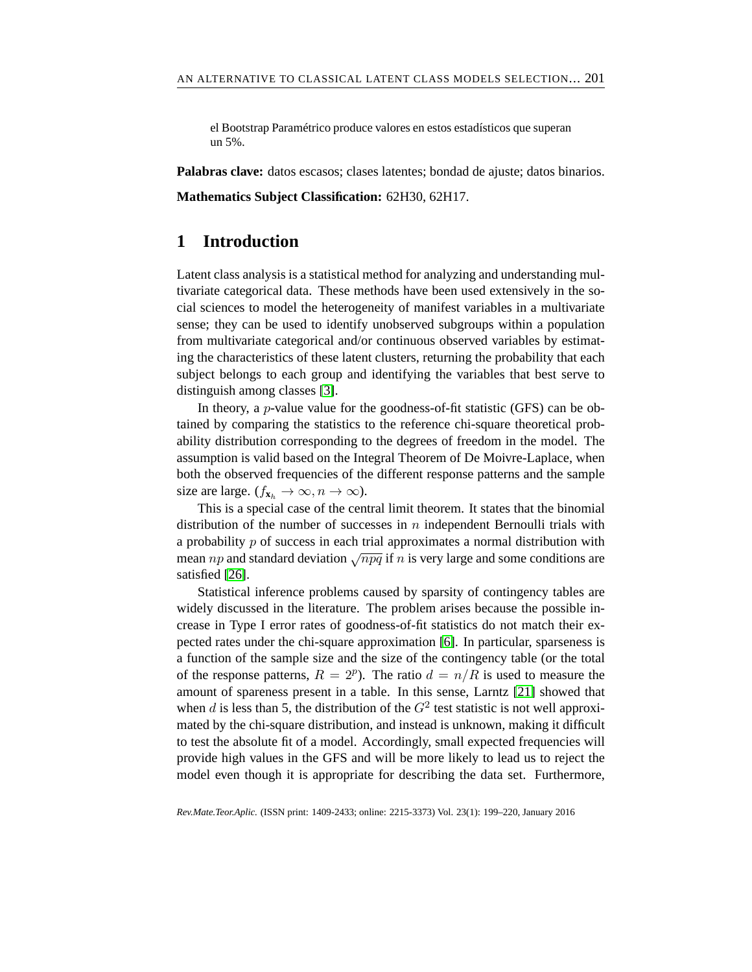el Bootstrap Paramétrico produce valores en estos estadísticos que superan un 5%.

**Palabras clave:** datos escasos; clases latentes; bondad de ajuste; datos binarios.

**Mathematics Subject Classification:** 62H30, 62H17.

## **1 Introduction**

Latent class analysis is a statistical method for analyzing and understanding multivariate categorical data. These methods have been used extensively in the social sciences to model the heterogeneity of manifest variables in a multivariate sense; they can be used to identify unobserved subgroups within a population from multivariate categorical and/or continuous observed variables by estimating the characteristics of these latent clusters, returning the probability that each subject belongs to each group and identifying the variables that best serve to distinguish among classes [\[3\]](#page-18-0).

In theory, a *p*-value value for the goodness-of-fit statistic (GFS) can be obtained by comparing the statistics to the reference chi-square theoretical probability distribution corresponding to the degrees of freedom in the model. The assumption is valid based on the Integral Theorem of De Moivre-Laplace, when both the observed frequencies of the different response patterns and the sample size are large.  $(f_{\mathbf{x}_h} \to \infty, n \to \infty)$ .

This is a special case of the central limit theorem. It states that the binomial distribution of the number of successes in  $n$  independent Bernoulli trials with a probability  $p$  of success in each trial approximates a normal distribution with mean np and standard deviation  $\sqrt{npq}$  if n is very large and some conditions are satisfied [\[26\]](#page-20-0).

Statistical inference problems caused by sparsity of contingency tables are widely discussed in the literature. The problem arises because the possible increase in Type I error rates of goodness-of-fit statistics do not match their expected rates under the chi-square approximation [\[6\]](#page-18-1). In particular, sparseness is a function of the sample size and the size of the contingency table (or the total of the response patterns,  $R = 2^p$ ). The ratio  $d = n/R$  is used to measure the amount of spareness present in a table. In this sense, Larntz [\[21\]](#page-19-0) showed that when d is less than 5, the distribution of the  $G<sup>2</sup>$  test statistic is not well approximated by the chi-square distribution, and instead is unknown, making it difficult to test the absolute fit of a model. Accordingly, small expected frequencies will provide high values in the GFS and will be more likely to lead us to reject the model even though it is appropriate for describing the data set. Furthermore,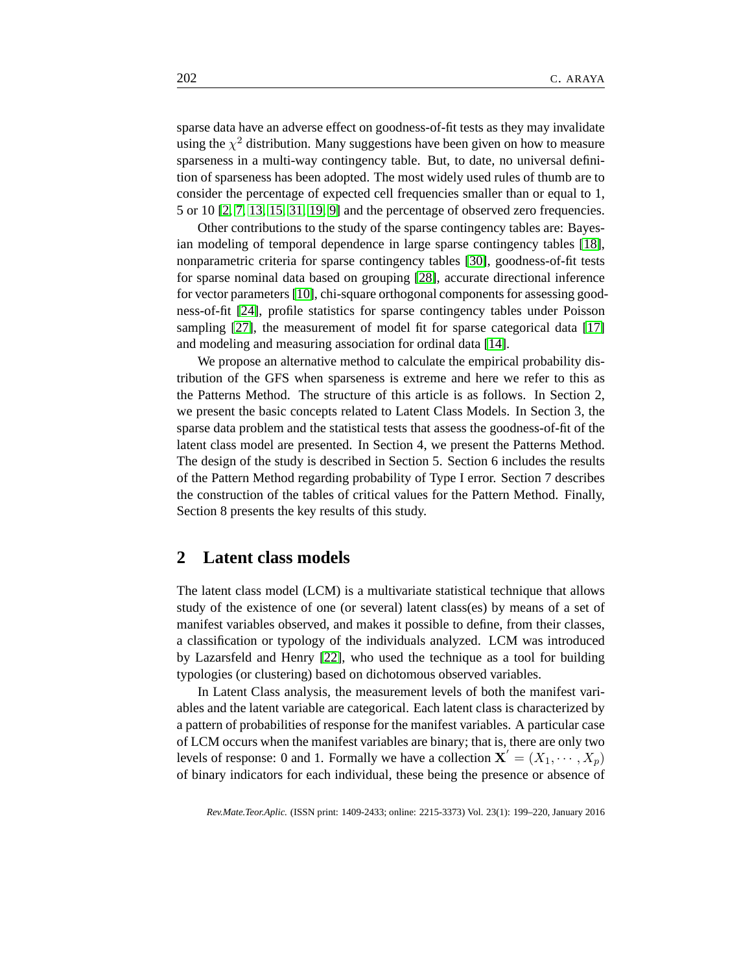sparse data have an adverse effect on goodness-of-fit tests as they may invalidate using the  $\chi^2$  distribution. Many suggestions have been given on how to measure sparseness in a multi-way contingency table. But, to date, no universal definition of sparseness has been adopted. The most widely used rules of thumb are to consider the percentage of expected cell frequencies smaller than or equal to 1, 5 or 10 [\[2,](#page-18-2) [7,](#page-18-3) [13,](#page-19-1) [15,](#page-19-2) [31,](#page-20-1) [19,](#page-19-3) [9\]](#page-18-4) and the percentage of observed zero frequencies.

Other contributions to the study of the sparse contingency tables are: Bayesian modeling of temporal dependence in large sparse contingency tables [\[18\]](#page-19-4), nonparametric criteria for sparse contingency tables [\[30\]](#page-20-2), goodness-of-fit tests for sparse nominal data based on grouping [\[28\]](#page-20-3), accurate directional inference for vector parameters [\[10\]](#page-18-5), chi-square orthogonal components for assessing goodness-of-fit [\[24\]](#page-19-5), profile statistics for sparse contingency tables under Poisson sampling [\[27\]](#page-20-4), the measurement of model fit for sparse categorical data [\[17\]](#page-19-6) and modeling and measuring association for ordinal data [\[14\]](#page-19-7).

We propose an alternative method to calculate the empirical probability distribution of the GFS when sparseness is extreme and here we refer to this as the Patterns Method. The structure of this article is as follows. In Section 2, we present the basic concepts related to Latent Class Models. In Section 3, the sparse data problem and the statistical tests that assess the goodness-of-fit of the latent class model are presented. In Section 4, we present the Patterns Method. The design of the study is described in Section 5. Section 6 includes the results of the Pattern Method regarding probability of Type I error. Section 7 describes the construction of the tables of critical values for the Pattern Method. Finally, Section 8 presents the key results of this study.

#### **2 Latent class models**

The latent class model (LCM) is a multivariate statistical technique that allows study of the existence of one (or several) latent class(es) by means of a set of manifest variables observed, and makes it possible to define, from their classes, a classification or typology of the individuals analyzed. LCM was introduced by Lazarsfeld and Henry [\[22\]](#page-19-8), who used the technique as a tool for building typologies (or clustering) based on dichotomous observed variables.

In Latent Class analysis, the measurement levels of both the manifest variables and the latent variable are categorical. Each latent class is characterized by a pattern of probabilities of response for the manifest variables. A particular case of LCM occurs when the manifest variables are binary; that is, there are only two levels of response: 0 and 1. Formally we have a collection  $\mathbf{X}' = (X_1, \dots, X_p)$ of binary indicators for each individual, these being the presence or absence of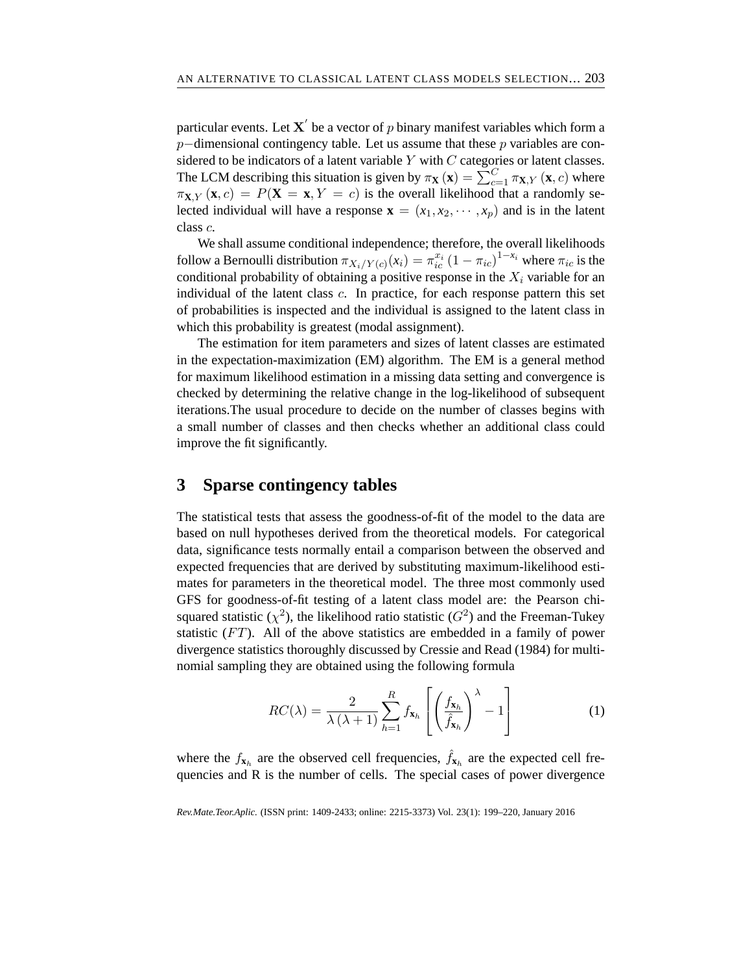particular events. Let  $\mathbf{X}^{'}$  be a vector of  $p$  binary manifest variables which form a p−dimensional contingency table. Let us assume that these p variables are considered to be indicators of a latent variable  $Y$  with  $C$  categories or latent classes. The LCM describing this situation is given by  $\pi_{\mathbf{X}}(\mathbf{x}) = \sum_{c=1}^{C} \pi_{\mathbf{X},Y}(\mathbf{x}, c)$  where  $\pi_{\mathbf{X},Y}(\mathbf{x},c) = P(\mathbf{X} = \mathbf{x}, Y = c)$  is the overall likelihood that a randomly selected individual will have a response  $\mathbf{x} = (x_1, x_2, \dots, x_n)$  and is in the latent class c.

We shall assume conditional independence; therefore, the overall likelihoods follow a Bernoulli distribution  $\pi_{X_i/Y(c)}(x_i) = \pi_{ic}^{x_i} (1 - \pi_{ic})^{1-x_i}$  where  $\pi_{ic}$  is the conditional probability of obtaining a positive response in the  $X_i$  variable for an individual of the latent class  $c$ . In practice, for each response pattern this set of probabilities is inspected and the individual is assigned to the latent class in which this probability is greatest (modal assignment).

The estimation for item parameters and sizes of latent classes are estimated in the expectation-maximization (EM) algorithm. The EM is a general method for maximum likelihood estimation in a missing data setting and convergence is checked by determining the relative change in the log-likelihood of subsequent iterations.The usual procedure to decide on the number of classes begins with a small number of classes and then checks whether an additional class could improve the fit significantly.

## **3 Sparse contingency tables**

The statistical tests that assess the goodness-of-fit of the model to the data are based on null hypotheses derived from the theoretical models. For categorical data, significance tests normally entail a comparison between the observed and expected frequencies that are derived by substituting maximum-likelihood estimates for parameters in the theoretical model. The three most commonly used GFS for goodness-of-fit testing of a latent class model are: the Pearson chisquared statistic ( $\chi^2$ ), the likelihood ratio statistic ( $G^2$ ) and the Freeman-Tukey statistic  $(FT)$ . All of the above statistics are embedded in a family of power divergence statistics thoroughly discussed by Cressie and Read (1984) for multinomial sampling they are obtained using the following formula

$$
RC(\lambda) = \frac{2}{\lambda(\lambda+1)} \sum_{h=1}^{R} f_{\mathbf{x}_h} \left[ \left( \frac{f_{\mathbf{x}_h}}{\hat{f}_{\mathbf{x}_h}} \right)^{\lambda} - 1 \right]
$$
 (1)

where the  $f_{\mathbf{x}_h}$  are the observed cell frequencies,  $\hat{f}_{\mathbf{x}_h}$  are the expected cell frequencies and R is the number of cells. The special cases of power divergence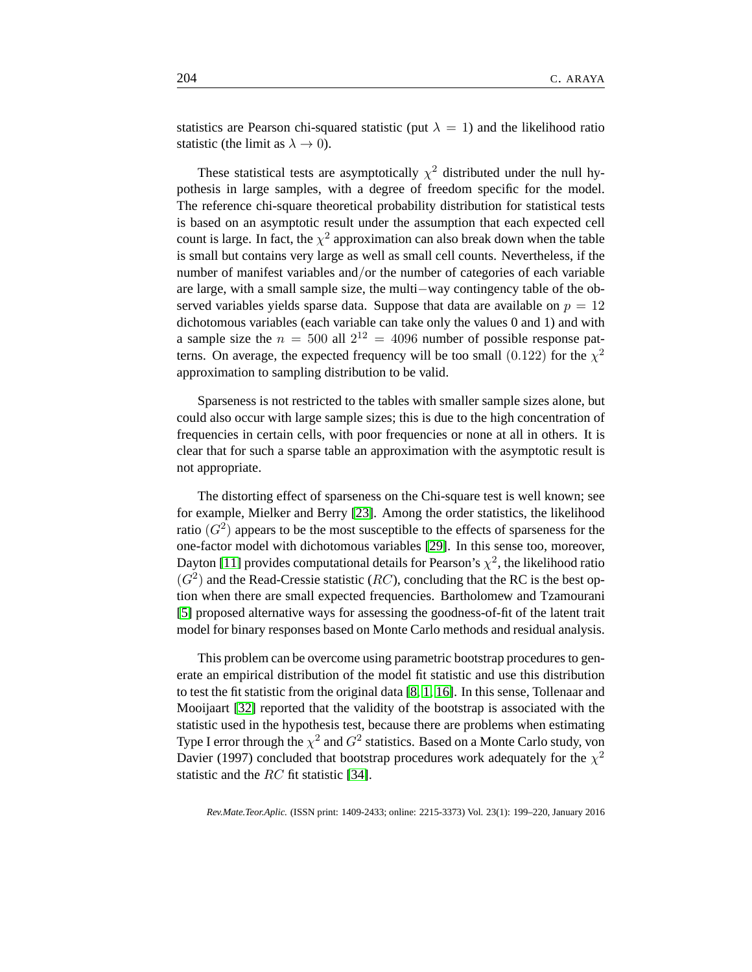statistics are Pearson chi-squared statistic (put  $\lambda = 1$ ) and the likelihood ratio statistic (the limit as  $\lambda \to 0$ ).

These statistical tests are asymptotically  $\chi^2$  distributed under the null hypothesis in large samples, with a degree of freedom specific for the model. The reference chi-square theoretical probability distribution for statistical tests is based on an asymptotic result under the assumption that each expected cell count is large. In fact, the  $\chi^2$  approximation can also break down when the table is small but contains very large as well as small cell counts. Nevertheless, if the number of manifest variables and/or the number of categories of each variable are large, with a small sample size, the multi−way contingency table of the observed variables yields sparse data. Suppose that data are available on  $p = 12$ dichotomous variables (each variable can take only the values 0 and 1) and with a sample size the  $n = 500$  all  $2^{12} = 4096$  number of possible response patterns. On average, the expected frequency will be too small  $(0.122)$  for the  $\chi^2$ approximation to sampling distribution to be valid.

Sparseness is not restricted to the tables with smaller sample sizes alone, but could also occur with large sample sizes; this is due to the high concentration of frequencies in certain cells, with poor frequencies or none at all in others. It is clear that for such a sparse table an approximation with the asymptotic result is not appropriate.

The distorting effect of sparseness on the Chi-square test is well known; see for example, Mielker and Berry [\[23\]](#page-19-9). Among the order statistics, the likelihood ratio  $(G<sup>2</sup>)$  appears to be the most susceptible to the effects of sparseness for the one-factor model with dichotomous variables [\[29\]](#page-20-5). In this sense too, moreover, Dayton [\[11\]](#page-18-6) provides computational details for Pearson's  $\chi^2$ , the likelihood ratio  $(G<sup>2</sup>)$  and the Read-Cressie statistic (RC), concluding that the RC is the best option when there are small expected frequencies. Bartholomew and Tzamourani [\[5\]](#page-18-7) proposed alternative ways for assessing the goodness-of-fit of the latent trait model for binary responses based on Monte Carlo methods and residual analysis.

This problem can be overcome using parametric bootstrap procedures to generate an empirical distribution of the model fit statistic and use this distribution to test the fit statistic from the original data [\[8,](#page-18-8) [1,](#page-18-9) [16\]](#page-19-10). In this sense, Tollenaar and Mooijaart [\[32\]](#page-20-6) reported that the validity of the bootstrap is associated with the statistic used in the hypothesis test, because there are problems when estimating Type I error through the  $\chi^2$  and  $G^2$  statistics. Based on a Monte Carlo study, von Davier (1997) concluded that bootstrap procedures work adequately for the  $\chi^2$ statistic and the RC fit statistic [\[34\]](#page-20-7).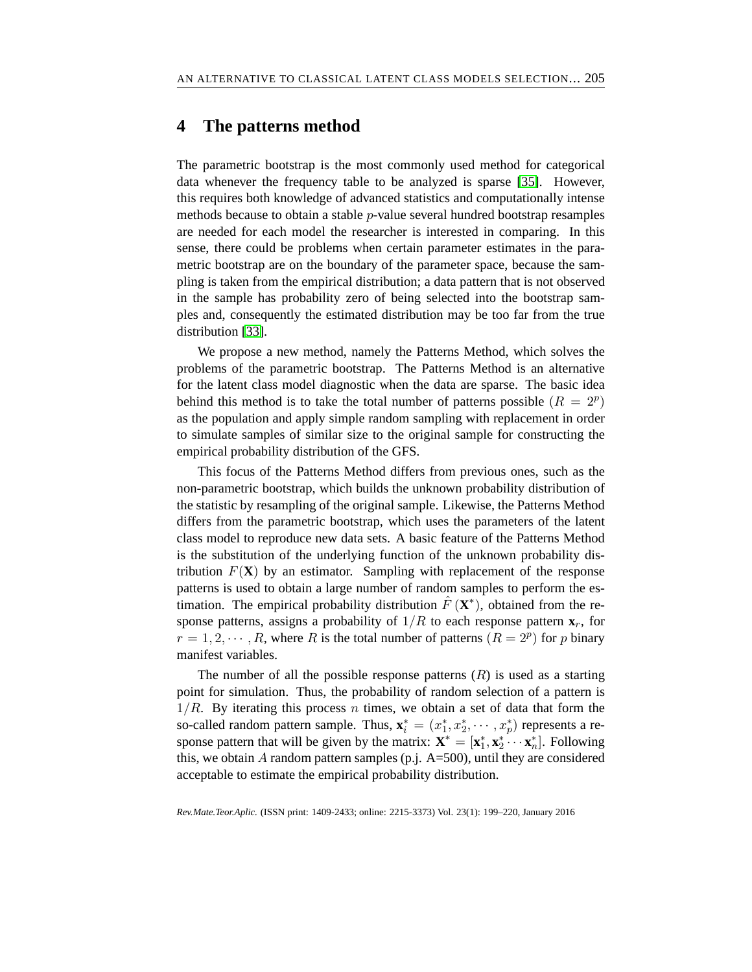#### **4 The patterns method**

The parametric bootstrap is the most commonly used method for categorical data whenever the frequency table to be analyzed is sparse [\[35\]](#page-21-0). However, this requires both knowledge of advanced statistics and computationally intense methods because to obtain a stable p-value several hundred bootstrap resamples are needed for each model the researcher is interested in comparing. In this sense, there could be problems when certain parameter estimates in the parametric bootstrap are on the boundary of the parameter space, because the sampling is taken from the empirical distribution; a data pattern that is not observed in the sample has probability zero of being selected into the bootstrap samples and, consequently the estimated distribution may be too far from the true distribution [\[33\]](#page-20-8).

We propose a new method, namely the Patterns Method, which solves the problems of the parametric bootstrap. The Patterns Method is an alternative for the latent class model diagnostic when the data are sparse. The basic idea behind this method is to take the total number of patterns possible  $(R = 2^p)$ as the population and apply simple random sampling with replacement in order to simulate samples of similar size to the original sample for constructing the empirical probability distribution of the GFS.

This focus of the Patterns Method differs from previous ones, such as the non-parametric bootstrap, which builds the unknown probability distribution of the statistic by resampling of the original sample. Likewise, the Patterns Method differs from the parametric bootstrap, which uses the parameters of the latent class model to reproduce new data sets. A basic feature of the Patterns Method is the substitution of the underlying function of the unknown probability distribution  $F(\mathbf{X})$  by an estimator. Sampling with replacement of the response patterns is used to obtain a large number of random samples to perform the estimation. The empirical probability distribution  $\hat{F}(\mathbf{X}^*)$ , obtained from the response patterns, assigns a probability of  $1/R$  to each response pattern  $\mathbf{x}_r$ , for  $r = 1, 2, \dots, R$ , where R is the total number of patterns  $(R = 2^p)$  for p binary manifest variables.

The number of all the possible response patterns  $(R)$  is used as a starting point for simulation. Thus, the probability of random selection of a pattern is  $1/R$ . By iterating this process n times, we obtain a set of data that form the so-called random pattern sample. Thus,  $\mathbf{x}_i^* = (x_1^*)$  $x_1^*, x_2^*, \cdots, x_p^*$  represents a response pattern that will be given by the matrix:  $\mathbf{X}^* = [\mathbf{x}_1^*]$  $_1^*,\mathbf{x}_2^*$  $\sum_{1}^{\infty} \cdots \sum_{n}^{\infty}$  $_{n}^{\ast}$ ]. Following this, we obtain A random pattern samples (p.j.  $A=500$ ), until they are considered acceptable to estimate the empirical probability distribution.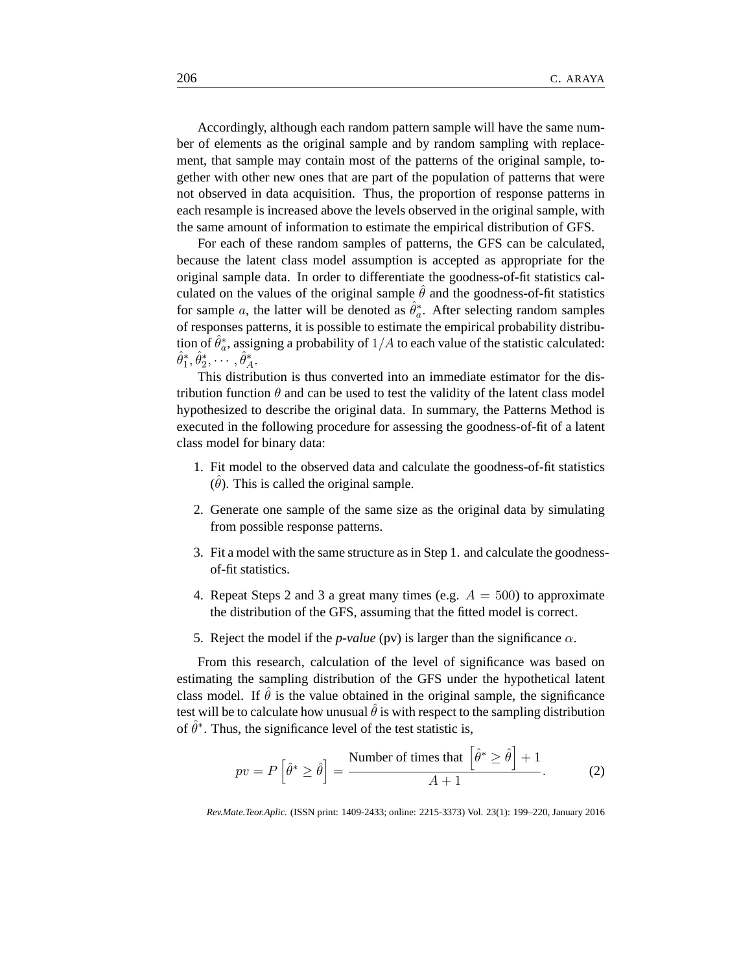Accordingly, although each random pattern sample will have the same number of elements as the original sample and by random sampling with replacement, that sample may contain most of the patterns of the original sample, together with other new ones that are part of the population of patterns that were not observed in data acquisition. Thus, the proportion of response patterns in each resample is increased above the levels observed in the original sample, with the same amount of information to estimate the empirical distribution of GFS.

For each of these random samples of patterns, the GFS can be calculated, because the latent class model assumption is accepted as appropriate for the original sample data. In order to differentiate the goodness-of-fit statistics calculated on the values of the original sample  $\theta$  and the goodness-of-fit statistics for sample a, the latter will be denoted as  $\hat{\theta}_a^*$  $_{a}^{*}$ . After selecting random samples of responses patterns, it is possible to estimate the empirical probability distribution of  $\hat{\theta}_a^*$  $_{a}^{*}$ , assigning a probability of  $1/A$  to each value of the statistic calculated:  $\hat{\theta}_1^*$  $_{1}^{*}, \hat{\theta}_{2}^{*}$  $\hat{\theta}_A^*,\cdots,\hat{\theta}_A^*$  $_A^*$ 

This distribution is thus converted into an immediate estimator for the distribution function  $\theta$  and can be used to test the validity of the latent class model hypothesized to describe the original data. In summary, the Patterns Method is executed in the following procedure for assessing the goodness-of-fit of a latent class model for binary data:

- 1. Fit model to the observed data and calculate the goodness-of-fit statistics  $(\hat{\theta})$ . This is called the original sample.
- 2. Generate one sample of the same size as the original data by simulating from possible response patterns.
- 3. Fit a model with the same structure as in Step 1. and calculate the goodnessof-fit statistics.
- 4. Repeat Steps 2 and 3 a great many times (e.g.  $A = 500$ ) to approximate the distribution of the GFS, assuming that the fitted model is correct.
- 5. Reject the model if the *p-value* (pv) is larger than the significance  $\alpha$ .

From this research, calculation of the level of significance was based on estimating the sampling distribution of the GFS under the hypothetical latent class model. If  $\hat{\theta}$  is the value obtained in the original sample, the significance test will be to calculate how unusual  $\hat{\theta}$  is with respect to the sampling distribution of  $\hat{\theta}^*$ . Thus, the significance level of the test statistic is,

$$
pv = P\left[\hat{\theta}^* \ge \hat{\theta}\right] = \frac{\text{Number of times that } \left[\hat{\theta}^* \ge \hat{\theta}\right] + 1}{A + 1}.\tag{2}
$$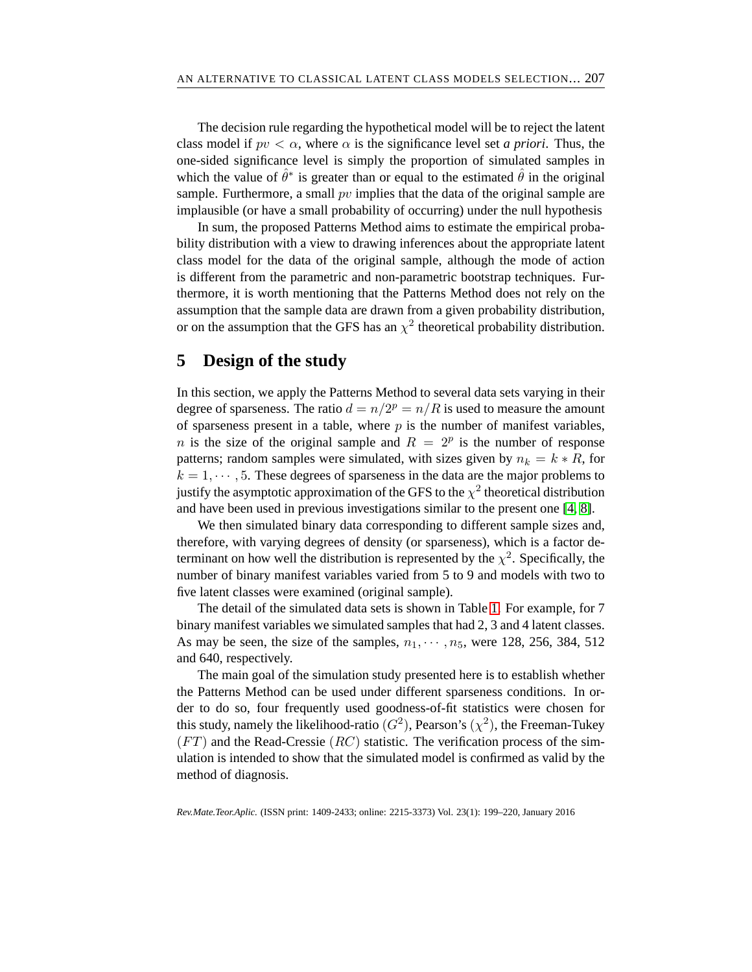The decision rule regarding the hypothetical model will be to reject the latent class model if  $pv < \alpha$ , where  $\alpha$  is the significance level set *a priori*. Thus, the one-sided significance level is simply the proportion of simulated samples in which the value of  $\hat{\theta}^*$  is greater than or equal to the estimated  $\hat{\theta}$  in the original sample. Furthermore, a small  $pv$  implies that the data of the original sample are implausible (or have a small probability of occurring) under the null hypothesis

In sum, the proposed Patterns Method aims to estimate the empirical probability distribution with a view to drawing inferences about the appropriate latent class model for the data of the original sample, although the mode of action is different from the parametric and non-parametric bootstrap techniques. Furthermore, it is worth mentioning that the Patterns Method does not rely on the assumption that the sample data are drawn from a given probability distribution, or on the assumption that the GFS has an  $\chi^2$  theoretical probability distribution.

## **5 Design of the study**

In this section, we apply the Patterns Method to several data sets varying in their degree of sparseness. The ratio  $d = n/2^p = n/R$  is used to measure the amount of sparseness present in a table, where  $p$  is the number of manifest variables, *n* is the size of the original sample and  $R = 2^p$  is the number of response patterns; random samples were simulated, with sizes given by  $n_k = k * R$ , for  $k = 1, \dots, 5$ . These degrees of sparseness in the data are the major problems to justify the asymptotic approximation of the GFS to the  $\chi^2$  theoretical distribution and have been used in previous investigations similar to the present one [\[4,](#page-18-10) [8\]](#page-18-8).

We then simulated binary data corresponding to different sample sizes and, therefore, with varying degrees of density (or sparseness), which is a factor determinant on how well the distribution is represented by the  $\chi^2$ . Specifically, the number of binary manifest variables varied from 5 to 9 and models with two to five latent classes were examined (original sample).

The detail of the simulated data sets is shown in Table [1.](#page-9-0) For example, for 7 binary manifest variables we simulated samples that had 2, 3 and 4 latent classes. As may be seen, the size of the samples,  $n_1, \dots, n_5$ , were 128, 256, 384, 512 and 640, respectively.

The main goal of the simulation study presented here is to establish whether the Patterns Method can be used under different sparseness conditions. In order to do so, four frequently used goodness-of-fit statistics were chosen for this study, namely the likelihood-ratio  $(G^2)$ , Pearson's  $(\chi^2)$ , the Freeman-Tukey  $(FT)$  and the Read-Cressie  $(RC)$  statistic. The verification process of the simulation is intended to show that the simulated model is confirmed as valid by the method of diagnosis.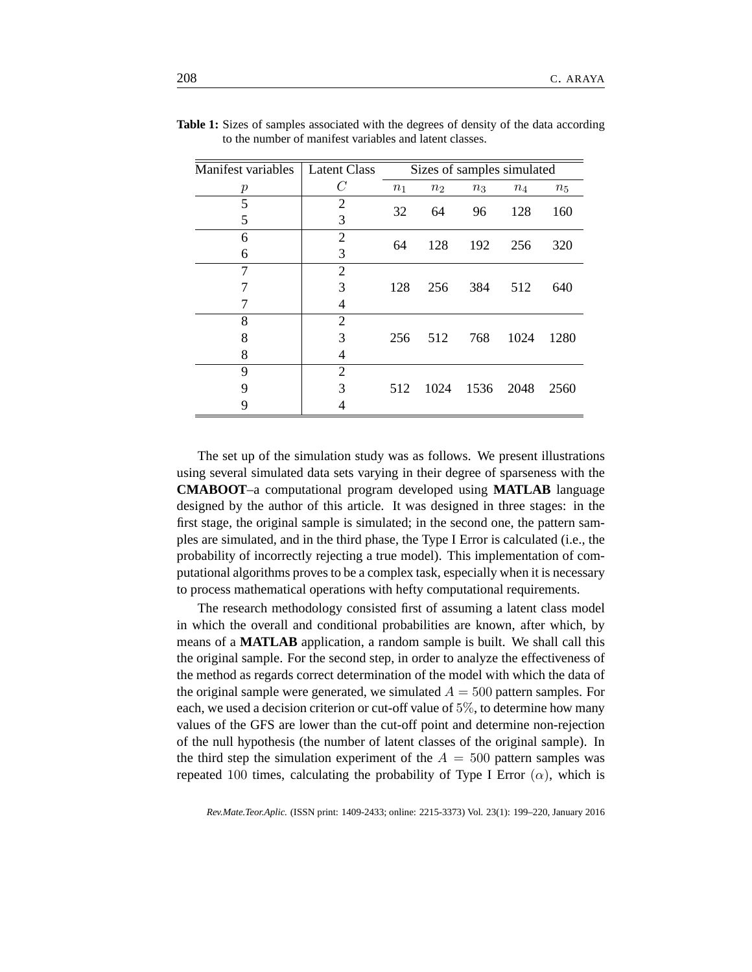| Manifest variables | <b>Latent Class</b> | Sizes of samples simulated |                |       |       |       |  |  |
|--------------------|---------------------|----------------------------|----------------|-------|-------|-------|--|--|
| р                  | $\,C$               | $n_1$                      | n <sub>2</sub> | $n_3$ | $n_4$ | $n_5$ |  |  |
| 5                  | $\overline{2}$      | 32                         | 64             | 96    | 128   | 160   |  |  |
| 5                  | 3                   |                            |                |       |       |       |  |  |
| 6                  | $\overline{2}$      | 64                         | 128            | 192   | 256   | 320   |  |  |
| 6                  | 3                   |                            |                |       |       |       |  |  |
| 7                  | $\overline{2}$      |                            |                |       |       |       |  |  |
|                    | 3                   | 128                        | 256            | 384   | 512   | 640   |  |  |
|                    | $\overline{4}$      |                            |                |       |       |       |  |  |
| 8                  | $\overline{2}$      |                            |                |       |       |       |  |  |
| 8                  | 3                   | 256                        | 512            | 768   | 1024  | 1280  |  |  |
| 8                  | 4                   |                            |                |       |       |       |  |  |
| 9                  | $\overline{2}$      |                            |                |       |       |       |  |  |
| 9                  | 3                   | 512                        | 1024           | 1536  | 2048  | 2560  |  |  |
| 9                  |                     |                            |                |       |       |       |  |  |

<span id="page-9-0"></span>**Table 1:** Sizes of samples associated with the degrees of density of the data according to the number of manifest variables and latent classes.

The set up of the simulation study was as follows. We present illustrations using several simulated data sets varying in their degree of sparseness with the **CMABOOT**–a computational program developed using **MATLAB** language designed by the author of this article. It was designed in three stages: in the first stage, the original sample is simulated; in the second one, the pattern samples are simulated, and in the third phase, the Type I Error is calculated (i.e., the probability of incorrectly rejecting a true model). This implementation of computational algorithms proves to be a complex task, especially when it is necessary to process mathematical operations with hefty computational requirements.

The research methodology consisted first of assuming a latent class model in which the overall and conditional probabilities are known, after which, by means of a **MATLAB** application, a random sample is built. We shall call this the original sample. For the second step, in order to analyze the effectiveness of the method as regards correct determination of the model with which the data of the original sample were generated, we simulated  $A = 500$  pattern samples. For each, we used a decision criterion or cut-off value of 5%, to determine how many values of the GFS are lower than the cut-off point and determine non-rejection of the null hypothesis (the number of latent classes of the original sample). In the third step the simulation experiment of the  $A = 500$  pattern samples was repeated 100 times, calculating the probability of Type I Error  $(\alpha)$ , which is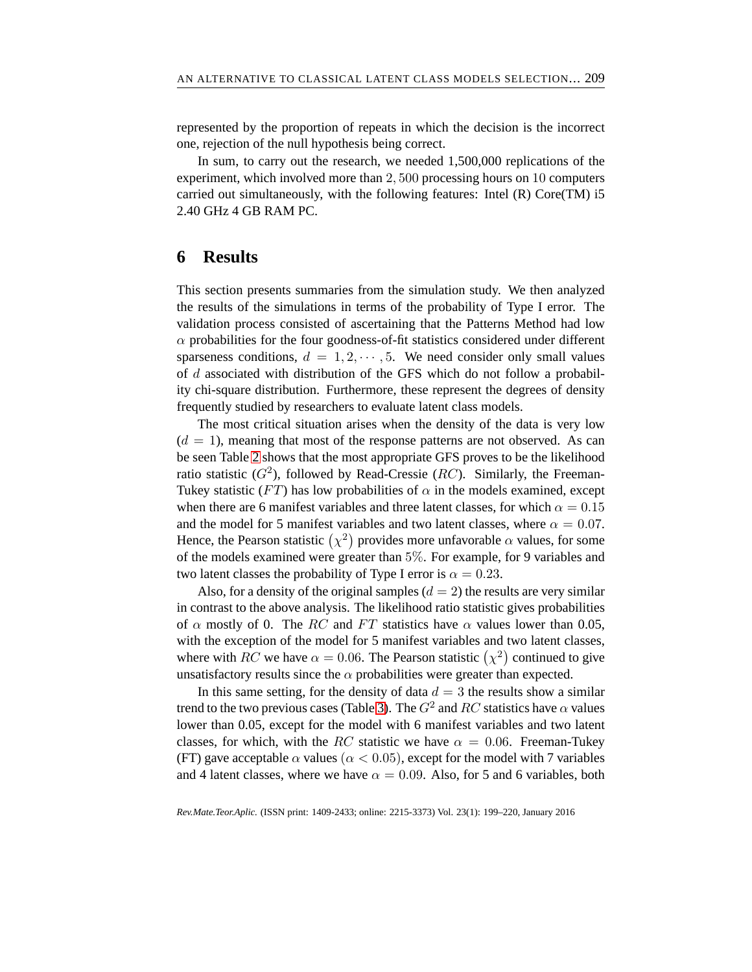represented by the proportion of repeats in which the decision is the incorrect one, rejection of the null hypothesis being correct.

In sum, to carry out the research, we needed 1,500,000 replications of the experiment, which involved more than 2, 500 processing hours on 10 computers carried out simultaneously, with the following features: Intel (R) Core(TM) i5 2.40 GHz 4 GB RAM PC.

#### **6 Results**

This section presents summaries from the simulation study. We then analyzed the results of the simulations in terms of the probability of Type I error. The validation process consisted of ascertaining that the Patterns Method had low  $\alpha$  probabilities for the four goodness-of-fit statistics considered under different sparseness conditions,  $d = 1, 2, \dots, 5$ . We need consider only small values of d associated with distribution of the GFS which do not follow a probability chi-square distribution. Furthermore, these represent the degrees of density frequently studied by researchers to evaluate latent class models.

The most critical situation arises when the density of the data is very low  $(d = 1)$ , meaning that most of the response patterns are not observed. As can be seen Table [2](#page-11-0) shows that the most appropriate GFS proves to be the likelihood ratio statistic  $(G^2)$ , followed by Read-Cressie  $(RC)$ . Similarly, the Freeman-Tukey statistic (FT) has low probabilities of  $\alpha$  in the models examined, except when there are 6 manifest variables and three latent classes, for which  $\alpha = 0.15$ and the model for 5 manifest variables and two latent classes, where  $\alpha = 0.07$ . Hence, the Pearson statistic  $(\chi^2)$  provides more unfavorable  $\alpha$  values, for some of the models examined were greater than 5%. For example, for 9 variables and two latent classes the probability of Type I error is  $\alpha = 0.23$ .

Also, for a density of the original samples  $(d = 2)$  the results are very similar in contrast to the above analysis. The likelihood ratio statistic gives probabilities of  $\alpha$  mostly of 0. The RC and FT statistics have  $\alpha$  values lower than 0.05, with the exception of the model for 5 manifest variables and two latent classes, where with RC we have  $\alpha = 0.06$ . The Pearson statistic  $(\chi^2)$  continued to give unsatisfactory results since the  $\alpha$  probabilities were greater than expected.

In this same setting, for the density of data  $d = 3$  the results show a similar trend to the two previous cases (Table [3\)](#page-12-0). The  $G^2$  and  $RC$  statistics have  $\alpha$  values lower than 0.05, except for the model with 6 manifest variables and two latent classes, for which, with the RC statistic we have  $\alpha = 0.06$ . Freeman-Tukey (FT) gave acceptable  $\alpha$  values ( $\alpha$  < 0.05), except for the model with 7 variables and 4 latent classes, where we have  $\alpha = 0.09$ . Also, for 5 and 6 variables, both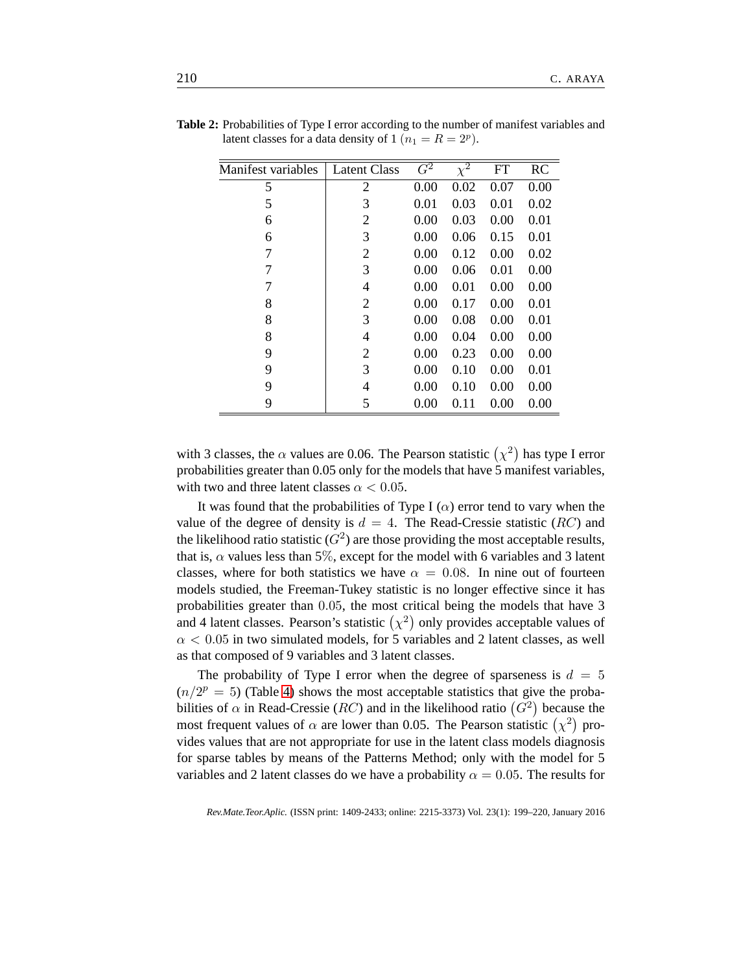| Manifest variables | <b>Latent Class</b> | $\overline{G^2}$ | $\overline{\chi^2}$ | <b>FT</b> | <b>RC</b> |
|--------------------|---------------------|------------------|---------------------|-----------|-----------|
| 5                  | 2                   | 0.00             | 0.02                | 0.07      | 0.00      |
| 5                  | 3                   | 0.01             | 0.03                | 0.01      | 0.02      |
| 6                  | $\overline{2}$      | 0.00             | 0.03                | 0.00      | 0.01      |
| 6                  | 3                   | 0.00             | 0.06                | 0.15      | 0.01      |
| 7                  | 2                   | 0.00             | 0.12                | 0.00      | 0.02      |
| 7                  | 3                   | 0.00             | 0.06                | 0.01      | 0.00      |
| 7                  | 4                   | 0.00             | 0.01                | 0.00      | 0.00      |
| 8                  | 2                   | 0.00             | 0.17                | 0.00      | 0.01      |
| 8                  | 3                   | 0.00             | 0.08                | 0.00      | 0.01      |
| 8                  | 4                   | 0.00             | 0.04                | 0.00      | 0.00      |
| 9                  | 2                   | 0.00             | 0.23                | 0.00      | 0.00      |
| 9                  | 3                   | 0.00             | 0.10                | 0.00      | 0.01      |
| 9                  | 4                   | 0.00             | 0.10                | 0.00      | 0.00      |
| 9                  | 5                   | 0.00             | 0.11                | 0.00      | 0.00      |
|                    |                     |                  |                     |           |           |

<span id="page-11-0"></span>**Table 2:** Probabilities of Type I error according to the number of manifest variables and latent classes for a data density of  $1 (n_1 = R = 2^p)$ .

with 3 classes, the  $\alpha$  values are 0.06. The Pearson statistic  $(\chi^2)$  has type I error probabilities greater than 0.05 only for the models that have 5 manifest variables, with two and three latent classes  $\alpha < 0.05$ .

It was found that the probabilities of Type I  $(\alpha)$  error tend to vary when the value of the degree of density is  $d = 4$ . The Read-Cressie statistic (RC) and the likelihood ratio statistic ( $G^2$ ) are those providing the most acceptable results, that is,  $\alpha$  values less than 5%, except for the model with 6 variables and 3 latent classes, where for both statistics we have  $\alpha = 0.08$ . In nine out of fourteen models studied, the Freeman-Tukey statistic is no longer effective since it has probabilities greater than 0.05, the most critical being the models that have 3 and 4 latent classes. Pearson's statistic  $(\chi^2)$  only provides acceptable values of  $\alpha$  < 0.05 in two simulated models, for 5 variables and 2 latent classes, as well as that composed of 9 variables and 3 latent classes.

The probability of Type I error when the degree of sparseness is  $d = 5$  $(n/2<sup>p</sup> = 5)$  (Table [4\)](#page-13-0) shows the most acceptable statistics that give the probabilities of  $\alpha$  in Read-Cressie (*RC*) and in the likelihood ratio ( $G^2$ ) because the most frequent values of  $\alpha$  are lower than 0.05. The Pearson statistic  $(\chi^2)$  provides values that are not appropriate for use in the latent class models diagnosis for sparse tables by means of the Patterns Method; only with the model for 5 variables and 2 latent classes do we have a probability  $\alpha = 0.05$ . The results for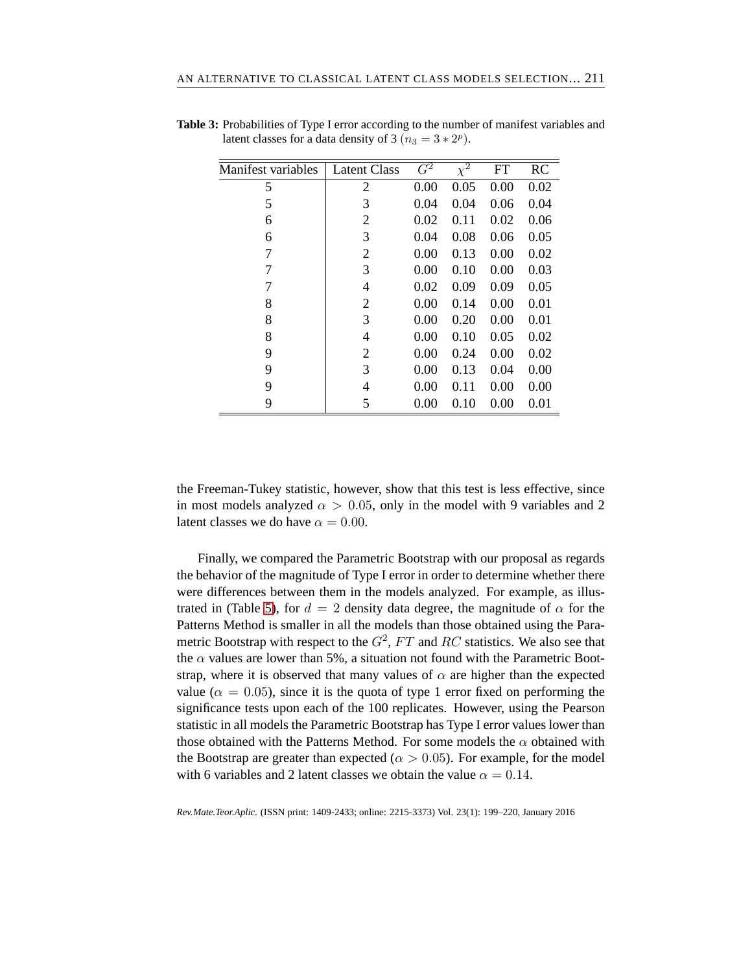| Manifest variables | Latent Class   | $\overline{G^2}$ | $\bar{\chi}^2$ | <b>FT</b> | <b>RC</b> |
|--------------------|----------------|------------------|----------------|-----------|-----------|
| 5                  | 2              | 0.00             | 0.05           | 0.00      | 0.02      |
| 5                  | 3              | 0.04             | 0.04           | 0.06      | 0.04      |
| 6                  | $\overline{2}$ | 0.02             | 0.11           | 0.02      | 0.06      |
| 6                  | 3              | 0.04             | 0.08           | 0.06      | 0.05      |
| 7                  | $\overline{2}$ | 0.00             | 0.13           | 0.00      | 0.02      |
| 7                  | 3              | 0.00             | 0.10           | 0.00      | 0.03      |
| 7                  | 4              | 0.02             | 0.09           | 0.09      | 0.05      |
| 8                  | 2              | 0.00             | 0.14           | 0.00      | 0.01      |
| 8                  | 3              | 0.00             | 0.20           | 0.00      | 0.01      |
| 8                  | 4              | 0.00             | 0.10           | 0.05      | 0.02      |
| 9                  | 2              | 0.00             | 0.24           | 0.00      | 0.02      |
| 9                  | 3              | 0.00             | 0.13           | 0.04      | 0.00      |
| 9                  | 4              | 0.00             | 0.11           | 0.00      | 0.00      |
| 9                  | 5              | 0.00             | 0.10           | 0.00      | 0.01      |

<span id="page-12-0"></span>**Table 3:** Probabilities of Type I error according to the number of manifest variables and latent classes for a data density of  $3 (n_3 = 3 \times 2^p)$ .

the Freeman-Tukey statistic, however, show that this test is less effective, since in most models analyzed  $\alpha > 0.05$ , only in the model with 9 variables and 2 latent classes we do have  $\alpha = 0.00$ .

Finally, we compared the Parametric Bootstrap with our proposal as regards the behavior of the magnitude of Type I error in order to determine whether there were differences between them in the models analyzed. For example, as illus-trated in (Table [5\)](#page-13-1), for  $d = 2$  density data degree, the magnitude of  $\alpha$  for the Patterns Method is smaller in all the models than those obtained using the Parametric Bootstrap with respect to the  $G^2$ ,  $FT$  and  $RC$  statistics. We also see that the  $\alpha$  values are lower than 5%, a situation not found with the Parametric Bootstrap, where it is observed that many values of  $\alpha$  are higher than the expected value ( $\alpha = 0.05$ ), since it is the quota of type 1 error fixed on performing the significance tests upon each of the 100 replicates. However, using the Pearson statistic in all models the Parametric Bootstrap has Type I error values lower than those obtained with the Patterns Method. For some models the  $\alpha$  obtained with the Bootstrap are greater than expected ( $\alpha > 0.05$ ). For example, for the model with 6 variables and 2 latent classes we obtain the value  $\alpha = 0.14$ .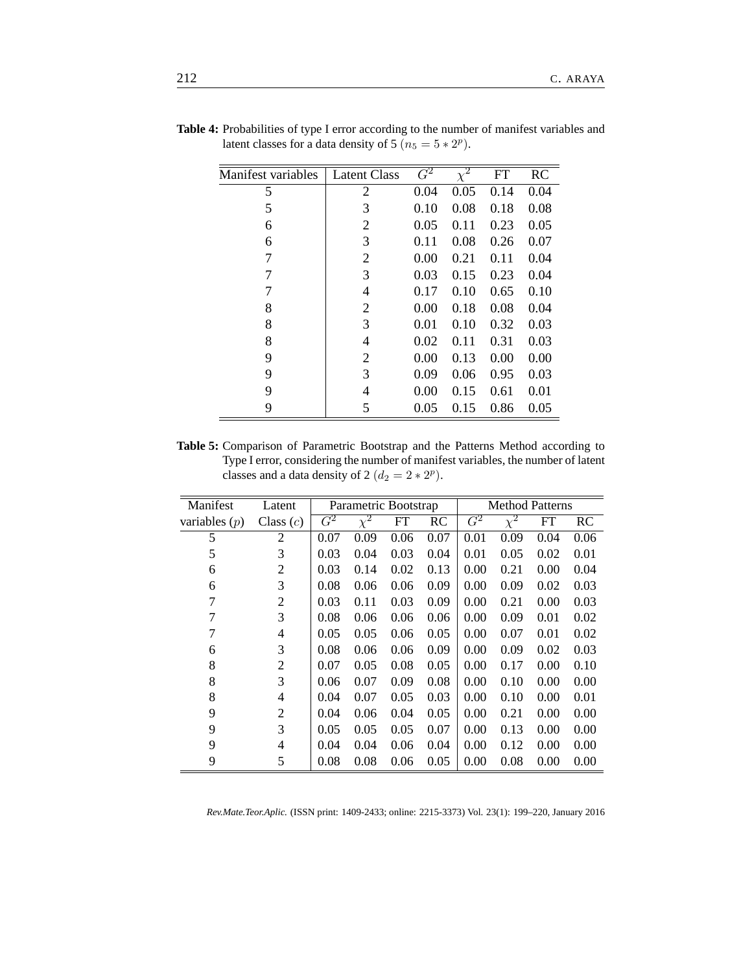|                    |                     | $\overline{G^2}$ |                     |           |      |
|--------------------|---------------------|------------------|---------------------|-----------|------|
| Manifest variables | <b>Latent Class</b> |                  | $\overline{\chi^2}$ | <b>FT</b> | RC   |
| 5                  | 2                   | 0.04             | 0.05                | 0.14      | 0.04 |
| 5                  | 3                   | 0.10             | 0.08                | 0.18      | 0.08 |
| 6                  | $\overline{c}$      | 0.05             | 0.11                | 0.23      | 0.05 |
| 6                  | 3                   | 0.11             | 0.08                | 0.26      | 0.07 |
| 7                  | $\overline{c}$      | 0.00             | 0.21                | 0.11      | 0.04 |
| 7                  | 3                   | 0.03             | 0.15                | 0.23      | 0.04 |
| 7                  | 4                   | 0.17             | 0.10                | 0.65      | 0.10 |
| 8                  | $\overline{c}$      | 0.00             | 0.18                | 0.08      | 0.04 |
| 8                  | 3                   | 0.01             | 0.10                | 0.32      | 0.03 |
| 8                  | 4                   | 0.02             | 0.11                | 0.31      | 0.03 |
| 9                  | $\overline{c}$      | 0.00             | 0.13                | 0.00      | 0.00 |
| 9                  | 3                   | 0.09             | 0.06                | 0.95      | 0.03 |
| 9                  | 4                   | 0.00             | 0.15                | 0.61      | 0.01 |
| 9                  | 5                   | 0.05             | 0.15                | 0.86      | 0.05 |

<span id="page-13-0"></span>**Table 4:** Probabilities of type I error according to the number of manifest variables and latent classes for a data density of  $5 (n_5 = 5 \times 2^p)$ .

<span id="page-13-1"></span>**Table 5:** Comparison of Parametric Bootstrap and the Patterns Method according to Type I error, considering the number of manifest variables, the number of latent classes and a data density of 2  $(d_2 = 2 \times 2^p)$ .

| Manifest        | Latent         | <b>Method Patterns</b><br>Parametric Bootstrap |          |           |           |                  |          |           |      |
|-----------------|----------------|------------------------------------------------|----------|-----------|-----------|------------------|----------|-----------|------|
| variables $(p)$ | Class $(c)$    | $\overline{G^2}$                               | $\chi^2$ | <b>FT</b> | <b>RC</b> | $\overline{G^2}$ | $\chi^2$ | <b>FT</b> | RC   |
| 5               | 2              | 0.07                                           | 0.09     | 0.06      | 0.07      | 0.01             | 0.09     | 0.04      | 0.06 |
| 5               | 3              | 0.03                                           | 0.04     | 0.03      | 0.04      | 0.01             | 0.05     | 0.02      | 0.01 |
| 6               | 2              | 0.03                                           | 0.14     | 0.02      | 0.13      | 0.00             | 0.21     | 0.00      | 0.04 |
| 6               | 3              | 0.08                                           | 0.06     | 0.06      | 0.09      | 0.00             | 0.09     | 0.02      | 0.03 |
| 7               | $\overline{2}$ | 0.03                                           | 0.11     | 0.03      | 0.09      | 0.00             | 0.21     | 0.00      | 0.03 |
| 7               | 3              | 0.08                                           | 0.06     | 0.06      | 0.06      | 0.00             | 0.09     | 0.01      | 0.02 |
| 7               | $\overline{4}$ | 0.05                                           | 0.05     | 0.06      | 0.05      | 0.00             | 0.07     | 0.01      | 0.02 |
| 6               | 3              | 0.08                                           | 0.06     | 0.06      | 0.09      | 0.00             | 0.09     | 0.02      | 0.03 |
| 8               | 2              | 0.07                                           | 0.05     | 0.08      | 0.05      | 0.00             | 0.17     | 0.00      | 0.10 |
| 8               | 3              | 0.06                                           | 0.07     | 0.09      | 0.08      | 0.00             | 0.10     | 0.00      | 0.00 |
| 8               | $\overline{4}$ | 0.04                                           | 0.07     | 0.05      | 0.03      | 0.00             | 0.10     | 0.00      | 0.01 |
| 9               | $\overline{2}$ | 0.04                                           | 0.06     | 0.04      | 0.05      | 0.00             | 0.21     | 0.00      | 0.00 |
| 9               | 3              | 0.05                                           | 0.05     | 0.05      | 0.07      | 0.00             | 0.13     | 0.00      | 0.00 |
| 9               | $\overline{4}$ | 0.04                                           | 0.04     | 0.06      | 0.04      | 0.00             | 0.12     | 0.00      | 0.00 |
| 9               | 5              | 0.08                                           | 0.08     | 0.06      | 0.05      | 0.00             | 0.08     | 0.00      | 0.00 |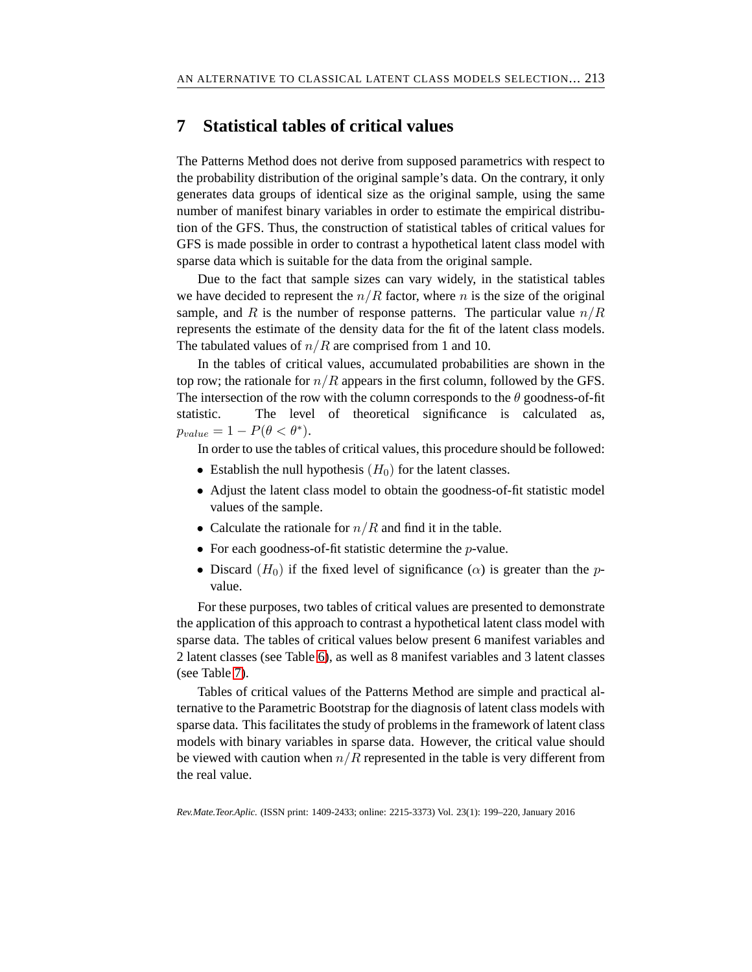# **7 Statistical tables of critical values**

The Patterns Method does not derive from supposed parametrics with respect to the probability distribution of the original sample's data. On the contrary, it only generates data groups of identical size as the original sample, using the same number of manifest binary variables in order to estimate the empirical distribution of the GFS. Thus, the construction of statistical tables of critical values for GFS is made possible in order to contrast a hypothetical latent class model with sparse data which is suitable for the data from the original sample.

Due to the fact that sample sizes can vary widely, in the statistical tables we have decided to represent the  $n/R$  factor, where n is the size of the original sample, and R is the number of response patterns. The particular value  $n/R$ represents the estimate of the density data for the fit of the latent class models. The tabulated values of  $n/R$  are comprised from 1 and 10.

In the tables of critical values, accumulated probabilities are shown in the top row; the rationale for  $n/R$  appears in the first column, followed by the GFS. The intersection of the row with the column corresponds to the  $\theta$  goodness-of-fit statistic. The level of theoretical significance is calculated as,  $p_{value} = 1 - P(\theta < \theta^*).$ 

In order to use the tables of critical values, this procedure should be followed:

- Establish the null hypothesis  $(H_0)$  for the latent classes.
- Adjust the latent class model to obtain the goodness-of-fit statistic model values of the sample.
- Calculate the rationale for  $n/R$  and find it in the table.
- For each goodness-of-fit statistic determine the  $p$ -value.
- Discard  $(H_0)$  if the fixed level of significance  $(\alpha)$  is greater than the pvalue.

For these purposes, two tables of critical values are presented to demonstrate the application of this approach to contrast a hypothetical latent class model with sparse data. The tables of critical values below present 6 manifest variables and 2 latent classes (see Table [6\)](#page-15-0), as well as 8 manifest variables and 3 latent classes (see Table [7\)](#page-16-0).

Tables of critical values of the Patterns Method are simple and practical alternative to the Parametric Bootstrap for the diagnosis of latent class models with sparse data. This facilitates the study of problems in the framework of latent class models with binary variables in sparse data. However, the critical value should be viewed with caution when  $n/R$  represented in the table is very different from the real value.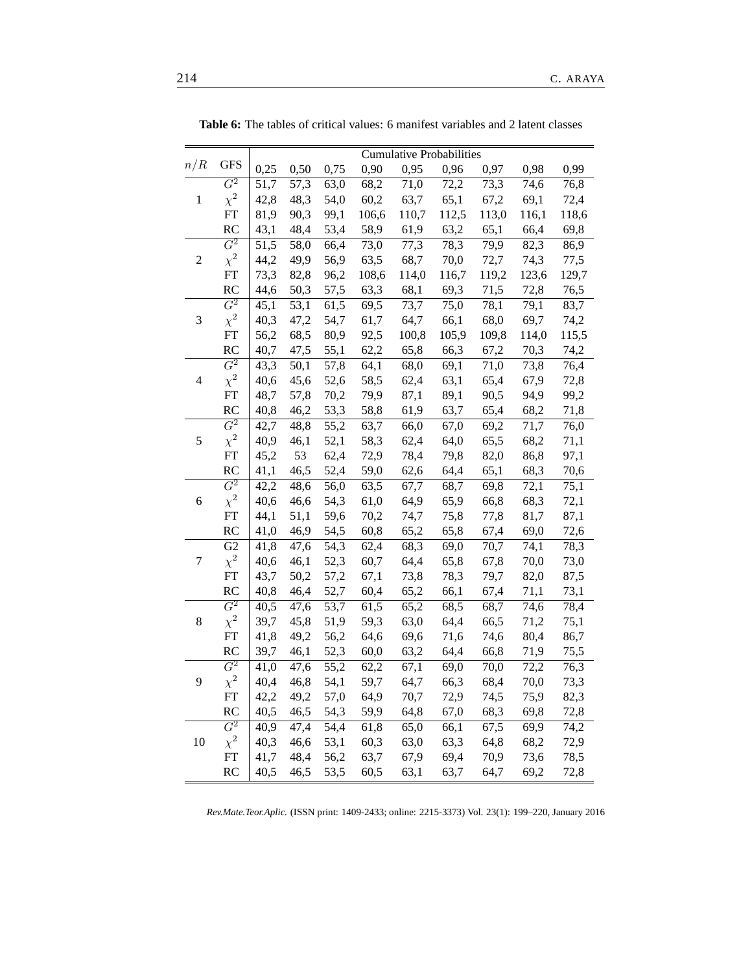|       |                  | <b>Cumulative Probabilities</b> |                   |                   |       |       |                   |                   |       |       |  |  |
|-------|------------------|---------------------------------|-------------------|-------------------|-------|-------|-------------------|-------------------|-------|-------|--|--|
| n/R   | <b>GFS</b>       | 0,25                            | 0,50              | 0,75              | 0,90  | 0,95  | 0,96              | 0,97              | 0,98  | 0,99  |  |  |
|       | $\overline{G^2}$ | 51,7                            | 57,3              | 63,0              | 68,2  | 71,0  | 72,2              | 73,3              | 74,6  | 76,8  |  |  |
| $\,1$ | $\chi^2$         | 42,8                            | 48,3              | 54,0              | 60,2  | 63,7  | 65,1              | 67,2              | 69,1  | 72,4  |  |  |
|       | FT               | 81,9                            | 90,3              | 99,1              | 106,6 | 110,7 | 112,5             | 113,0             | 116,1 | 118,6 |  |  |
|       | RC               | 43,1                            | 48,4              | 53,4              | 58,9  | 61,9  | 63,2              | 65,1              | 66,4  | 69,8  |  |  |
|       | $\,G^2$          | 51,5                            | 58,0              | 66,4              | 73,0  | 77,3  | $\overline{78,3}$ | $\overline{79,9}$ | 82,3  | 86,9  |  |  |
| 2     | $\chi^2$         | 44,2                            | 49,9              | 56,9              | 63,5  | 68,7  | 70,0              | 72,7              | 74,3  | 77,5  |  |  |
|       | FT               | 73,3                            | 82,8              | 96,2              | 108,6 | 114,0 | 116,7             | 119,2             | 123,6 | 129,7 |  |  |
|       | <b>RC</b>        | 44,6                            | 50,3              | 57,5              | 63,3  | 68,1  | 69,3              | 71,5              | 72,8  | 76,5  |  |  |
|       | $\,G^2$          | 45,1                            | 53,1              | 61,5              | 69,5  | 73,7  | 75,0              | 78,1              | 79,1  | 83,7  |  |  |
| 3     | $\chi^2$         | 40,3                            | 47,2              | 54,7              | 61,7  | 64,7  | 66,1              | 68,0              | 69,7  | 74,2  |  |  |
|       | FT               | 56,2                            | 68,5              | 80,9              | 92,5  | 100,8 | 105,9             | 109,8             | 114,0 | 115,5 |  |  |
|       | RC               | 40,7                            | 47,5              | 55,1              | 62,2  | 65,8  | 66,3              | 67,2              | 70,3  | 74,2  |  |  |
|       | $\overline{G^2}$ | $\overline{43,3}$               | 50,1              | $\overline{57,8}$ | 64,1  | 68,0  | 69,1              | 71,0              | 73,8  | 76,4  |  |  |
| 4     | $\chi^2$         | 40,6                            | 45,6              | 52,6              | 58,5  | 62,4  | 63,1              | 65,4              | 67,9  | 72,8  |  |  |
|       | FT               | 48,7                            | 57,8              | 70,2              | 79,9  | 87,1  | 89,1              | 90,5              | 94,9  | 99,2  |  |  |
|       | <b>RC</b>        | 40,8                            | 46,2              | 53,3              | 58,8  | 61,9  | 63,7              | 65,4              | 68,2  | 71,8  |  |  |
|       | $\,G^2$          | 42,7                            | 48,8              | 55,2              | 63,7  | 66,0  | 67,0              | 69,2              | 71,7  | 76,0  |  |  |
| 5     | $\chi^2$         | 40,9                            | 46,1              | 52,1              | 58,3  | 62,4  | 64,0              | 65,5              | 68,2  | 71,1  |  |  |
|       | FT               | 45,2                            | 53                | 62,4              | 72,9  | 78,4  | 79,8              | 82,0              | 86,8  | 97,1  |  |  |
|       | RC               | 41,1                            | 46,5              | 52,4              | 59,0  | 62,6  | 64,4              | 65,1              | 68,3  | 70,6  |  |  |
|       | $\overline{G^2}$ | 42,2                            | 48,6              | 56,0              | 63,5  | 67,7  | 68,7              | $\overline{69,8}$ | 72,1  | 75,1  |  |  |
| 6     | $\chi^2$         | 40,6                            | 46,6              | 54,3              | 61,0  | 64,9  | 65,9              | 66,8              | 68,3  | 72,1  |  |  |
|       | FT               | 44,1                            | 51,1              | 59,6              | 70,2  | 74,7  | 75,8              | 77,8              | 81,7  | 87,1  |  |  |
|       | RC               | 41,0                            | 46,9              | 54,5              | 60,8  | 65,2  | 65,8              | 67,4              | 69,0  | 72,6  |  |  |
|       | $\overline{G2}$  | 41,8                            | 47,6              | 54,3              | 62,4  | 68,3  | 69,0              | 70,7              | 74,1  | 78,3  |  |  |
| 7     | $\chi^2$         | 40,6                            | 46,1              | 52,3              | 60,7  | 64,4  | 65,8              | 67,8              | 70,0  | 73,0  |  |  |
|       | FT               | 43,7                            | 50,2              | 57,2              | 67,1  | 73,8  | 78,3              | 79,7              | 82,0  | 87,5  |  |  |
|       | <b>RC</b>        | 40,8                            | 46,4              | 52,7              | 60,4  | 65,2  | 66,1              | 67,4              | 71,1  | 73,1  |  |  |
|       | $\overline{G^2}$ | 40,5                            | 47,6              | 53,7              | 61,5  | 65,2  | 68,5              | 68,7              | 74,6  | 78,4  |  |  |
| 8     | $\chi^2$         | 39,7                            | 45,8              | 51,9              | 59,3  | 63,0  | 64,4              | 66,5              | 71,2  | 75,1  |  |  |
|       | ${\rm FT}$       | 41,8                            | 49,2              | 56,2              | 64,6  | 69,6  | 71,6              | 74,6              | 80,4  | 86,7  |  |  |
|       | <b>RC</b>        | 39,7                            | 46,1              | 52,3              | 60,0  | 63,2  | 64,4              | 66,8              | 71,9  | 75,5  |  |  |
|       | $G^2$            | 41,0                            | $\overline{47,6}$ | $\overline{55,2}$ | 62,2  | 67,1  | 69,0              | 70,0              | 72,2  | 76,3  |  |  |
| 9     | $\chi^2$         | 40,4                            | 46,8              | 54,1              | 59,7  | 64,7  | 66,3              | 68,4              | 70,0  | 73,3  |  |  |
|       | FT               | 42,2                            | 49,2              | 57,0              | 64,9  | 70,7  | 72,9              | 74,5              | 75,9  | 82,3  |  |  |
|       | <b>RC</b>        | 40,5                            | 46,5              | 54,3              | 59,9  | 64,8  | 67,0              | 68,3              | 69,8  | 72,8  |  |  |
|       | $\overline{G^2}$ | 40,9                            | $\overline{47,4}$ | 54,4              | 61,8  | 65,0  | 66,1              | 67,5              | 69,9  | 74,2  |  |  |
| 10    | $\chi^2$         | 40,3                            | 46,6              | 53,1              | 60,3  | 63,0  | 63,3              | 64,8              | 68,2  | 72,9  |  |  |
|       | FT               | 41,7                            | 48,4              | 56,2              | 63,7  | 67,9  | 69,4              | 70,9              | 73,6  | 78,5  |  |  |
|       | RC               | 40,5                            | 46,5              | 53,5              | 60,5  | 63,1  | 63,7              | 64,7              | 69,2  | 72,8  |  |  |

<span id="page-15-0"></span>**Table 6:** The tables of critical values: 6 manifest variables and 2 latent classes

*Rev.Mate.Teor.Aplic.* (ISSN print: 1409-2433; online: 2215-3373) Vol. 23(1): 199–220, January 2016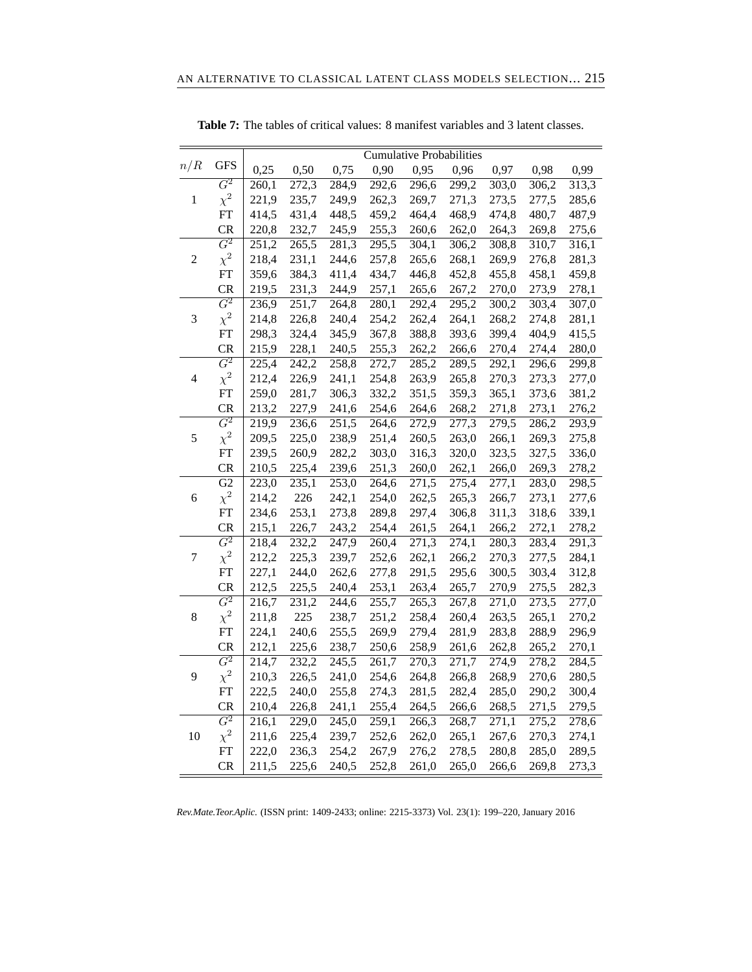|                |                  | <b>Cumulative Probabilities</b> |       |                     |                    |                    |       |       |       |                    |
|----------------|------------------|---------------------------------|-------|---------------------|--------------------|--------------------|-------|-------|-------|--------------------|
| n/R            | <b>GFS</b>       | 0,25                            | 0,50  | 0,75                | 0,90               | 0,95               | 0,96  | 0,97  | 0,98  | 0,99               |
|                | $G^2$            | 260,1                           | 272,3 | 284,9               | 292,6              | 296,6              | 299,2 | 303,0 | 306,2 | 313,3              |
| $\mathbf{1}$   | $\chi^2$         | 221,9                           | 235,7 | 249,9               | 262,3              | 269,7              | 271,3 | 273,5 | 277,5 | 285,6              |
|                | <b>FT</b>        | 414,5                           | 431,4 | 448,5               | 459,2              | 464,4              | 468,9 | 474,8 | 480,7 | 487,9              |
|                | <b>CR</b>        | 220,8                           | 232,7 | 245,9               | 255,3              | 260,6              | 262,0 | 264,3 | 269,8 | 275,6              |
|                | $\overline{G^2}$ | 251,2                           | 265,5 | 281,3               | 295,5              | 304,1              | 306,2 | 308,8 | 310,7 | 316,1              |
| $\overline{c}$ | $\chi^2$         | 218,4                           | 231,1 | 244,6               | 257,8              | 265,6              | 268,1 | 269,9 | 276,8 | 281,3              |
|                | ${\rm FT}$       | 359,6                           | 384,3 | 411,4               | 434,7              | 446,8              | 452,8 | 455,8 | 458,1 | 459,8              |
|                | <b>CR</b>        | 219,5                           | 231,3 | 244,9               | 257,1              | 265,6              | 267,2 | 270,0 | 273,9 | 278,1              |
|                | $G^2$            | 236,9                           | 251,7 | 264,8               | 280,1              | 292,4              | 295,2 | 300,2 | 303,4 | 307,0              |
| 3              | $\chi^2$         | 214,8                           | 226,8 | 240,4               | 254,2              | 262,4              | 264,1 | 268,2 | 274,8 | 281,1              |
|                | ${\rm FT}$       | 298,3                           | 324,4 | 345,9               | 367,8              | 388,8              | 393,6 | 399,4 | 404,9 | 415,5              |
|                | <b>CR</b>        | 215,9                           | 228,1 | 240,5               | 255,3              | 262,2              | 266,6 | 270,4 | 274,4 | 280,0              |
|                | $\overline{G^2}$ | 225,4                           | 242,2 | 258,8               | $\overline{272,7}$ | 285,2              | 289,5 | 292,1 | 296,6 | 299,8              |
| 4              | $\chi^2$         | 212,4                           | 226,9 | 241,1               | 254,8              | 263,9              | 265,8 | 270,3 | 273,3 | 277,0              |
|                | FT               | 259,0                           | 281,7 | 306,3               | 332,2              | 351,5              | 359,3 | 365,1 | 373,6 | 381,2              |
|                | <b>CR</b>        | 213,2                           | 227,9 | 241,6               | 254,6              | 264,6              | 268,2 | 271,8 | 273,1 | 276,2              |
|                | $\overline{G^2}$ | 219,9                           | 236,6 | 251,5               | 264,6              | 272,9              | 277,3 | 279,5 | 286,2 | 293,9              |
| 5              | $\chi^2$         | 209,5                           | 225,0 | 238,9               | 251,4              | 260,5              | 263,0 | 266,1 | 269,3 | 275,8              |
|                | ${\rm FT}$       | 239,5                           | 260,9 | 282,2               | 303,0              | 316,3              | 320,0 | 323,5 | 327,5 | 336,0              |
|                | CR               | 210,5                           | 225,4 | 239,6               | 251,3              | 260,0              | 262,1 | 266,0 | 269,3 | 278,2              |
|                | $\overline{G2}$  | 223,0                           | 235,1 | 253,0               | 264,6              | 271,5              | 275,4 | 277,1 | 283,0 | $\overline{298,5}$ |
| 6              | $\chi^2$         | 214,2                           | 226   | 242,1               | 254,0              | 262,5              | 265,3 | 266,7 | 273,1 | 277,6              |
|                | <b>FT</b>        | 234,6                           | 253,1 | 273,8               | 289,8              | 297,4              | 306,8 | 311,3 | 318,6 | 339,1              |
|                | <b>CR</b>        | 215,1                           | 226,7 | 243,2               | 254,4              | 261,5              | 264,1 | 266,2 | 272,1 | 278,2              |
|                | $\overline{G^2}$ | 218,4                           | 232,2 | 247,9               | 260,4              | $\overline{271,3}$ | 274,1 | 280,3 | 283,4 | 291,3              |
| 7              | $\chi^2$         | 212,2                           | 225,3 | 239,7               | 252,6              | 262,1              | 266,2 | 270,3 | 277,5 | 284,1              |
|                | ${\rm FT}$       | 227,1                           | 244,0 | 262,6               | 277,8              | 291,5              | 295,6 | 300,5 | 303,4 | 312,8              |
|                | <b>CR</b>        | 212,5                           | 225,5 | 240,4               | 253,1              | 263,4              | 265,7 | 270,9 | 275,5 | 282,3              |
|                | $\overline{G^2}$ | 216,7                           | 231,2 | 244,6               | 255,7              | 265,3              | 267,8 | 271,0 | 273,5 | 277,0              |
| $\,8$          | $\chi^2$         | 211,8                           | 225   | 238,7               | 251,2              | 258,4              | 260,4 | 263,5 | 265,1 | 270,2              |
|                | ${\rm FT}$       | 224,1                           | 240,6 | 255,5               | 269,9              | 279,4              | 281,9 | 283,8 | 288,9 | 296,9              |
|                | CR               | 212,1                           | 225,6 | 238,7               | 250,6              | 258,9              | 261,6 | 262,8 | 265,2 | 270,1              |
|                | $\overline{G^2}$ | 214,7                           | 232,2 | $\overline{2}$ 45,5 | 261,7              | 270,3              | 271,7 | 274,9 | 278,2 | 284,5              |
| 9              | $\chi^2$         | 210,3                           | 226,5 | 241,0               | 254,6              | 264,8              | 266,8 | 268,9 | 270,6 | 280,5              |
|                | FT               | 222,5                           | 240,0 | 255,8               | 274,3              | 281,5              | 282,4 | 285,0 | 290,2 | 300,4              |
|                | <b>CR</b>        | 210,4                           | 226,8 | 241,1               | 255,4              | 264,5              | 266,6 | 268,5 | 271,5 | 279,5              |
|                | G <sup>2</sup>   | 216,1                           | 229,0 | 245,0               | 259,1              | 266,3              | 268,7 | 271,1 | 275,2 | 278,6              |
| 10             | $\chi^2$         | 211,6                           | 225,4 | 239,7               | 252,6              | 262,0              | 265,1 | 267,6 | 270,3 | 274,1              |
|                | ${\rm FT}$       | 222,0                           | 236,3 | 254,2               | 267,9              | 276,2              | 278,5 | 280,8 | 285,0 | 289,5              |
|                | <b>CR</b>        | 211,5                           | 225,6 | 240,5               | 252,8              | 261,0              | 265,0 | 266,6 | 269,8 | 273,3              |

<span id="page-16-0"></span>**Table 7:** The tables of critical values: 8 manifest variables and 3 latent classes.

*Rev.Mate.Teor.Aplic.* (ISSN print: 1409-2433; online: 2215-3373) Vol. 23(1): 199–220, January 2016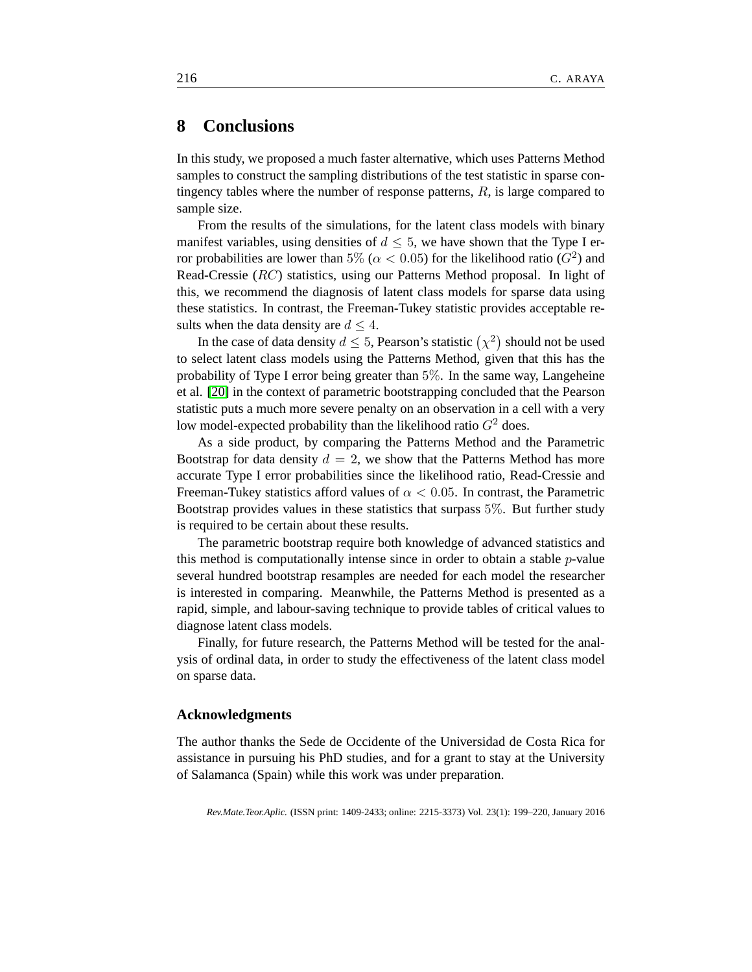# **8 Conclusions**

In this study, we proposed a much faster alternative, which uses Patterns Method samples to construct the sampling distributions of the test statistic in sparse contingency tables where the number of response patterns,  $R$ , is large compared to sample size.

From the results of the simulations, for the latent class models with binary manifest variables, using densities of  $d \leq 5$ , we have shown that the Type I error probabilities are lower than 5% ( $\alpha$  < 0.05) for the likelihood ratio ( $G^2$ ) and Read-Cressie (RC) statistics, using our Patterns Method proposal. In light of this, we recommend the diagnosis of latent class models for sparse data using these statistics. In contrast, the Freeman-Tukey statistic provides acceptable results when the data density are  $d \leq 4$ .

In the case of data density  $d \le 5$ , Pearson's statistic  $(\chi^2)$  should not be used to select latent class models using the Patterns Method, given that this has the probability of Type I error being greater than 5%. In the same way, Langeheine et al. [\[20\]](#page-19-11) in the context of parametric bootstrapping concluded that the Pearson statistic puts a much more severe penalty on an observation in a cell with a very low model-expected probability than the likelihood ratio  $G^2$  does.

As a side product, by comparing the Patterns Method and the Parametric Bootstrap for data density  $d = 2$ , we show that the Patterns Method has more accurate Type I error probabilities since the likelihood ratio, Read-Cressie and Freeman-Tukey statistics afford values of  $\alpha < 0.05$ . In contrast, the Parametric Bootstrap provides values in these statistics that surpass 5%. But further study is required to be certain about these results.

The parametric bootstrap require both knowledge of advanced statistics and this method is computationally intense since in order to obtain a stable p-value several hundred bootstrap resamples are needed for each model the researcher is interested in comparing. Meanwhile, the Patterns Method is presented as a rapid, simple, and labour-saving technique to provide tables of critical values to diagnose latent class models.

Finally, for future research, the Patterns Method will be tested for the analysis of ordinal data, in order to study the effectiveness of the latent class model on sparse data.

#### **Acknowledgments**

The author thanks the Sede de Occidente of the Universidad de Costa Rica for assistance in pursuing his PhD studies, and for a grant to stay at the University of Salamanca (Spain) while this work was under preparation.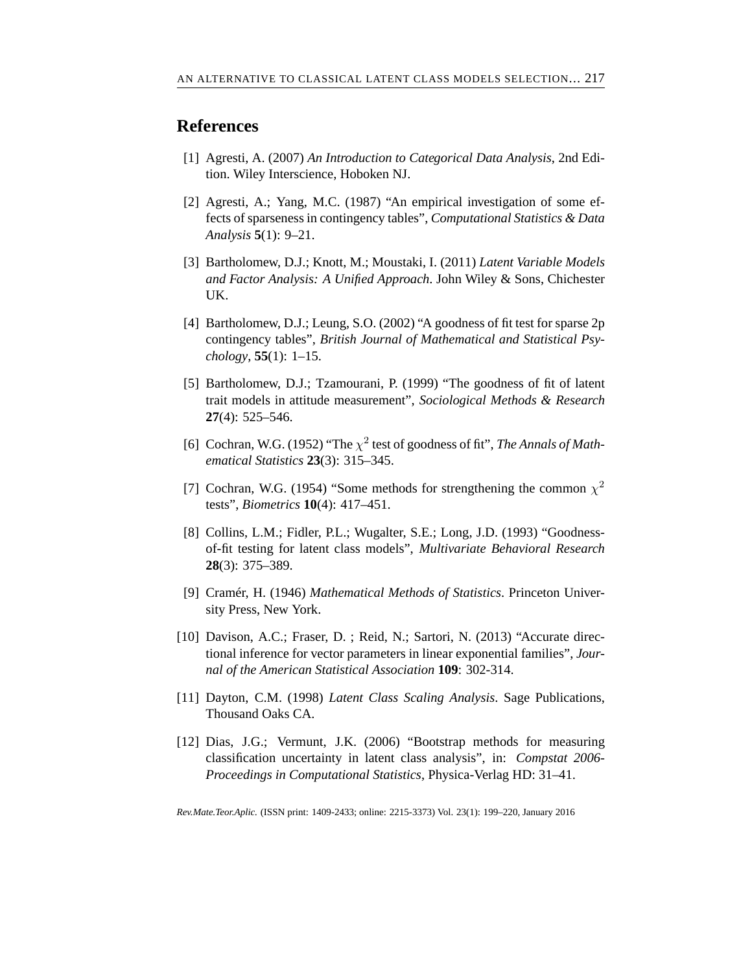### <span id="page-18-9"></span>**References**

- <span id="page-18-2"></span>[1] Agresti, A. (2007) *An Introduction to Categorical Data Analysis*, 2nd Edition. Wiley Interscience, Hoboken NJ.
- [2] Agresti, A.; Yang, M.C. (1987) "An empirical investigation of some effects of sparseness in contingency tables", *Computational Statistics & Data Analysis* **5**(1): 9–21.
- <span id="page-18-0"></span>[3] Bartholomew, D.J.; Knott, M.; Moustaki, I. (2011) *Latent Variable Models and Factor Analysis: A Unified Approach*. John Wiley & Sons, Chichester UK.
- <span id="page-18-10"></span>[4] Bartholomew, D.J.; Leung, S.O. (2002) "A goodness of fit test for sparse 2p contingency tables", *British Journal of Mathematical and Statistical Psychology*, **55**(1): 1–15.
- <span id="page-18-7"></span>[5] Bartholomew, D.J.; Tzamourani, P. (1999) "The goodness of fit of latent trait models in attitude measurement", *Sociological Methods & Research* **27**(4): 525–546.
- <span id="page-18-1"></span>[6] Cochran, W.G. (1952) "The  $\chi^2$  test of goodness of fit", *The Annals of Mathematical Statistics* **23**(3): 315–345.
- <span id="page-18-3"></span>[7] Cochran, W.G. (1954) "Some methods for strengthening the common  $\chi^2$ tests", *Biometrics* **10**(4): 417–451.
- <span id="page-18-8"></span>[8] Collins, L.M.; Fidler, P.L.; Wugalter, S.E.; Long, J.D. (1993) "Goodnessof-fit testing for latent class models", *Multivariate Behavioral Research* **28**(3): 375–389.
- <span id="page-18-4"></span>[9] Cramér, H. (1946) *Mathematical Methods of Statistics*. Princeton University Press, New York.
- <span id="page-18-5"></span>[10] Davison, A.C.; Fraser, D. ; Reid, N.; Sartori, N. (2013) "Accurate directional inference for vector parameters in linear exponential families", *Journal of the American Statistical Association* **109**: 302-314.
- <span id="page-18-6"></span>[11] Dayton, C.M. (1998) *Latent Class Scaling Analysis*. Sage Publications, Thousand Oaks CA.
- [12] Dias, J.G.; Vermunt, J.K. (2006) "Bootstrap methods for measuring classification uncertainty in latent class analysis", in: *Compstat 2006- Proceedings in Computational Statistics*, Physica-Verlag HD: 31–41.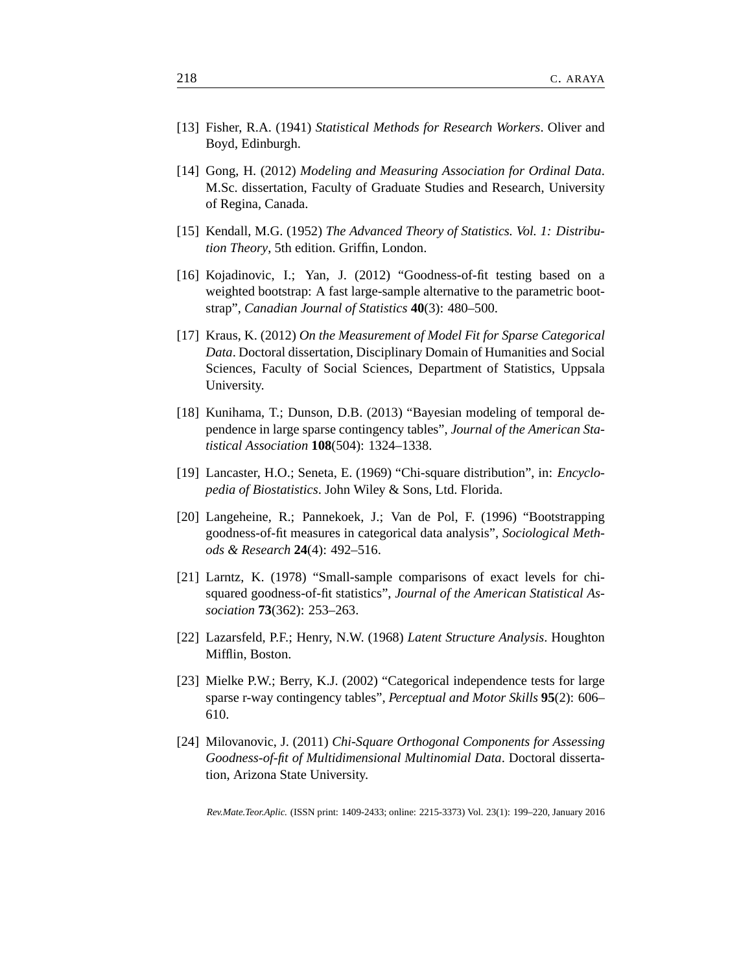- <span id="page-19-7"></span><span id="page-19-1"></span>[13] Fisher, R.A. (1941) *Statistical Methods for Research Workers*. Oliver and Boyd, Edinburgh.
- [14] Gong, H. (2012) *Modeling and Measuring Association for Ordinal Data*. M.Sc. dissertation, Faculty of Graduate Studies and Research, University of Regina, Canada.
- <span id="page-19-10"></span><span id="page-19-2"></span>[15] Kendall, M.G. (1952) *The Advanced Theory of Statistics. Vol. 1: Distribution Theory*, 5th edition. Griffin, London.
- [16] Kojadinovic, I.; Yan, J. (2012) "Goodness-of-fit testing based on a weighted bootstrap: A fast large-sample alternative to the parametric bootstrap", *Canadian Journal of Statistics* **40**(3): 480–500.
- <span id="page-19-6"></span>[17] Kraus, K. (2012) *On the Measurement of Model Fit for Sparse Categorical Data*. Doctoral dissertation, Disciplinary Domain of Humanities and Social Sciences, Faculty of Social Sciences, Department of Statistics, Uppsala University.
- <span id="page-19-4"></span>[18] Kunihama, T.; Dunson, D.B. (2013) "Bayesian modeling of temporal dependence in large sparse contingency tables", *Journal of the American Statistical Association* **108**(504): 1324–1338.
- <span id="page-19-3"></span>[19] Lancaster, H.O.; Seneta, E. (1969) "Chi-square distribution", in: *Encyclopedia of Biostatistics*. John Wiley & Sons, Ltd. Florida.
- <span id="page-19-11"></span>[20] Langeheine, R.; Pannekoek, J.; Van de Pol, F. (1996) "Bootstrapping goodness-of-fit measures in categorical data analysis", *Sociological Methods & Research* **24**(4): 492–516.
- <span id="page-19-0"></span>[21] Larntz, K. (1978) "Small-sample comparisons of exact levels for chisquared goodness-of-fit statistics", *Journal of the American Statistical Association* **73**(362): 253–263.
- <span id="page-19-9"></span><span id="page-19-8"></span>[22] Lazarsfeld, P.F.; Henry, N.W. (1968) *Latent Structure Analysis*. Houghton Mifflin, Boston.
- [23] Mielke P.W.; Berry, K.J. (2002) "Categorical independence tests for large sparse r-way contingency tables", *Perceptual and Motor Skills* **95**(2): 606– 610.
- <span id="page-19-5"></span>[24] Milovanovic, J. (2011) *Chi-Square Orthogonal Components for Assessing Goodness-of-fit of Multidimensional Multinomial Data*. Doctoral dissertation, Arizona State University.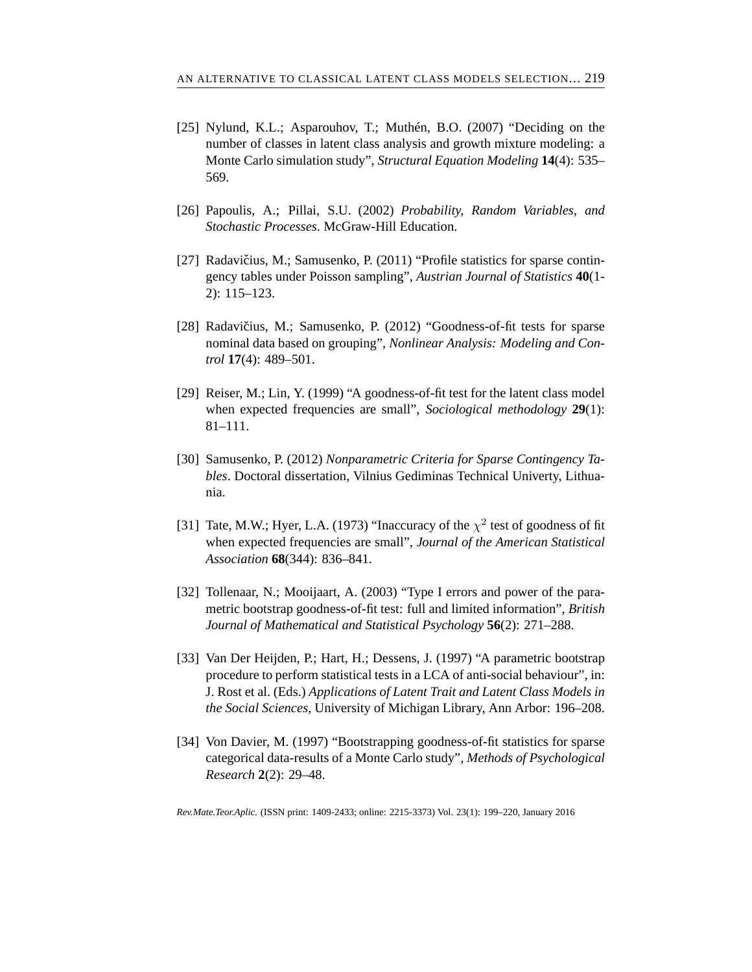- [25] Nylund, K.L.; Asparouhov, T.; Muthén, B.O. (2007) "Deciding on the number of classes in latent class analysis and growth mixture modeling: a Monte Carlo simulation study", *Structural Equation Modeling* **14**(4): 535– 569.
- <span id="page-20-4"></span><span id="page-20-0"></span>[26] Papoulis, A.; Pillai, S.U. (2002) *Probability, Random Variables, and Stochastic Processes*. McGraw-Hill Education.
- [27] Radavičius, M.; Samusenko, P. (2011) "Profile statistics for sparse contingency tables under Poisson sampling", *Austrian Journal of Statistics* **40**(1- 2): 115–123.
- <span id="page-20-3"></span>[28] Radavičius, M.; Samusenko, P.  $(2012)$  "Goodness-of-fit tests for sparse nominal data based on grouping", *Nonlinear Analysis: Modeling and Control* **17**(4): 489–501.
- <span id="page-20-5"></span>[29] Reiser, M.; Lin, Y. (1999) "A goodness-of-fit test for the latent class model when expected frequencies are small", *Sociological methodology* **29**(1): 81–111.
- <span id="page-20-2"></span>[30] Samusenko, P. (2012) *Nonparametric Criteria for Sparse Contingency Tables*. Doctoral dissertation, Vilnius Gediminas Technical Univerty, Lithuania.
- <span id="page-20-1"></span>[31] Tate, M.W.; Hyer, L.A. (1973) "Inaccuracy of the  $\chi^2$  test of goodness of fit when expected frequencies are small", *Journal of the American Statistical Association* **68**(344): 836–841.
- <span id="page-20-6"></span>[32] Tollenaar, N.; Mooijaart, A. (2003) "Type I errors and power of the parametric bootstrap goodness-of-fit test: full and limited information", *British Journal of Mathematical and Statistical Psychology* **56**(2): 271–288.
- <span id="page-20-8"></span>[33] Van Der Heijden, P.; Hart, H.; Dessens, J. (1997) "A parametric bootstrap procedure to perform statistical tests in a LCA of anti-social behaviour", in: J. Rost et al. (Eds.) *Applications of Latent Trait and Latent Class Models in the Social Sciences*, University of Michigan Library, Ann Arbor: 196–208.
- <span id="page-20-7"></span>[34] Von Davier, M. (1997) "Bootstrapping goodness-of-fit statistics for sparse categorical data-results of a Monte Carlo study", *Methods of Psychological Research* **2**(2): 29–48.